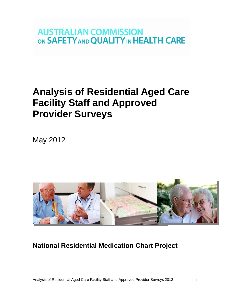# **AUSTRALIAN COMMISSION** ON SAFETY AND QUALITY IN HEALTH CARE

# **Analysis of Residential Aged Care Facility Staff and Approved Provider Surveys**

May 2012



# **National Residential Medication Chart Project**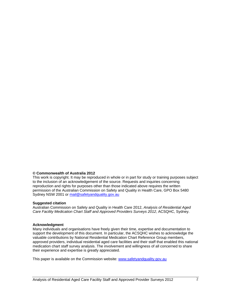#### **© Commonwealth of Australia 2012**

This work is copyright. It may be reproduced in whole or in part for study or training purposes subject to the inclusion of an acknowledgement of the source. Requests and inquiries concerning reproduction and rights for purposes other than those indicated above requires the written permission of the Australian Commission on Safety and Quality in Health Care, GPO Box 5480 Sydney NSW 2001 or [mail@safetyandquality.gov.au](mailto:mail@safetyandquality.gov.au)

#### **Suggested citation**

Australian Commission on Safety and Quality in Health Care 2012, *Analysis of Residential Aged Care Facility Medication Chart Staff and Approved Providers Surveys 2012*, ACSQHC, Sydney.

#### **Acknowledgment**

Many individuals and organisations have freely given their time, expertise and documentation to support the development of this document. In particular, the ACSQHC wishes to acknowledge the valuable contributions by National Residential Medication Chart Reference Group members, approved providers, individual residential aged care facilities and their staff that enabled this national medication chart staff survey analysis. The involvement and willingness of all concerned to share their experience and expertise is greatly appreciated.

This paper is available on the Commission website: [www.safetyandquality.gov.au](http://www.safetyandquality.gov.au/)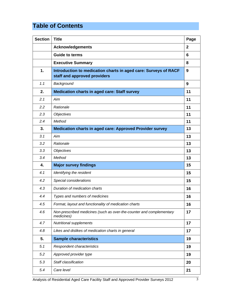# **Table of Contents**

| <b>Section</b> | <b>Title</b>                                                                                    | Page           |
|----------------|-------------------------------------------------------------------------------------------------|----------------|
|                | <b>Acknowledgements</b>                                                                         | $\overline{2}$ |
|                | <b>Guide to terms</b>                                                                           | 6              |
|                | <b>Executive Summary</b>                                                                        | 8              |
| 1.             | Introduction to medication charts in aged care: Surveys of RACF<br>staff and approved providers | 9              |
| 1.1            | Background                                                                                      | 9              |
| 2.             | <b>Medication charts in aged care: Staff survey</b>                                             | 11             |
| 2.1            | Aim                                                                                             | 11             |
| 2.2            | Rationale                                                                                       | 11             |
| 2.3            | <b>Objectives</b>                                                                               | 11             |
| 2.4            | Method                                                                                          | 11             |
| 3.             | <b>Medication charts in aged care: Approved Provider survey</b>                                 | 13             |
| 3.1            | Aim                                                                                             | 13             |
| 3.2            | Rationale                                                                                       | 13             |
| 3.3            | <b>Objectives</b>                                                                               | 13             |
| 3.4            | Method                                                                                          | 13             |
| 4.             | <b>Major survey findings</b>                                                                    | 15             |
| 4.1            | Identifying the resident                                                                        | 15             |
| 4.2            | Special considerations                                                                          | 15             |
| 4.3            | Duration of medication charts                                                                   | 16             |
| 4.4            | Types and numbers of medicines                                                                  | 16             |
| 4.5            | Format, layout and functionality of medication charts                                           | 16             |
| 4.6            | Non-prescribed medicines (such as over-the-counter and complementary<br>medicines)              | 17             |
| 4.7            | <b>Nutritional supplements</b>                                                                  | 17             |
| 4.8            | Likes and dislikes of medication charts in general                                              | 17             |
| 5.             | <b>Sample characteristics</b>                                                                   | 19             |
| 5.1            | Respondent characteristics                                                                      | 19             |
| 5.2            | Approved provider type                                                                          | 19             |
| 5.3            | Staff classification                                                                            | 20             |
| 5.4            | Care level                                                                                      | 21             |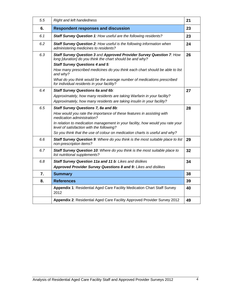| 5.5 | Right and left handedness                                                                                                                                                   | 21 |
|-----|-----------------------------------------------------------------------------------------------------------------------------------------------------------------------------|----|
| 6.  | <b>Respondent responses and discussion</b>                                                                                                                                  | 23 |
| 6.1 | Staff Survey Question 1: How useful are the following residents?                                                                                                            | 23 |
| 6.2 | Staff Survey Question 2: How useful is the following information when<br>administering medicines to residents?                                                              | 24 |
| 6.3 | Staff Survey Question 3 and Approved Provider Survey Question 7: How<br>long [duration] do you think the chart should be and why?<br><b>Staff Survey Questions 4 and 5:</b> | 26 |
|     | How many prescribed medicines do you think each chart should be able to list<br>and why?                                                                                    |    |
|     | What do you think would be the average number of medications prescribed<br>for individual residents in your facility?                                                       |    |
| 6.4 | <b>Staff Survey Questions 6a and 6b:</b>                                                                                                                                    | 27 |
|     | Approximately, how many residents are taking Warfarin in your facility?                                                                                                     |    |
|     | Approximately, how many residents are taking insulin in your facility?                                                                                                      |    |
| 6.5 | Staff Survey Questions 7, 8a and 8b:                                                                                                                                        | 28 |
|     | How would you rate the importance of these features in assisting with<br>medication administration?                                                                         |    |
|     | In relation to medication management in your facility, how would you rate your<br>level of satisfaction with the following?                                                 |    |
|     | So you think that the use of colour on medication charts is useful and why?                                                                                                 |    |
| 6.6 | Staff Survey Question 9: Where do you think is the most suitable place to list<br>non-prescription items?                                                                   | 29 |
| 6.7 | Staff Survey Question 10: Where do you think is the most suitable place to<br>list nutritional supplements?                                                                 | 32 |
| 6.8 | Staff Survey Question 11a and 11 b: Likes and dislikes                                                                                                                      | 34 |
|     | Approved Provider Survey Questions 8 and 9: Likes and dislikes                                                                                                              |    |
| 7.  | <b>Summary</b>                                                                                                                                                              | 38 |
| 8.  | <b>References</b>                                                                                                                                                           | 39 |
|     | <b>Appendix 1: Residential Aged Care Facility Medication Chart Staff Survey</b><br>2012                                                                                     | 40 |
|     | Appendix 2: Residential Aged Care Facility Approved Provider Survey 2012                                                                                                    | 49 |
|     |                                                                                                                                                                             |    |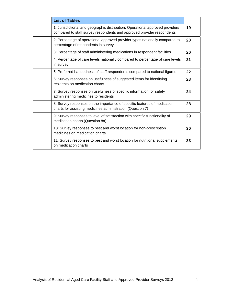| <b>List of Tables</b>                                                                                                                                   |    |
|---------------------------------------------------------------------------------------------------------------------------------------------------------|----|
| 1: Jurisdictional and geographic distribution: Operational approved providers<br>compared to staff survey respondents and approved provider respondents | 19 |
| 2: Percentage of operational approved provider types nationally compared to<br>percentage of respondents in survey                                      | 20 |
| 3: Percentage of staff administering medications in respondent facilities                                                                               | 20 |
| 4: Percentage of care levels nationally compared to percentage of care levels<br>in survey                                                              | 21 |
| 5: Preferred handedness of staff respondents compared to national figures                                                                               | 22 |
| 6: Survey responses on usefulness of suggested items for identifying<br>residents on medication charts                                                  | 23 |
| 7: Survey responses on usefulness of specific information for safety<br>administering medicines to residents                                            | 24 |
| 8: Survey responses on the importance of specific features of medication<br>charts for assisting medicines administration (Question 7)                  | 28 |
| 9: Survey responses to level of satisfaction with specific functionality of<br>medication charts (Question 8a)                                          | 29 |
| 10: Survey responses to best and worst location for non-prescription<br>medicines on medication charts                                                  | 30 |
| 11: Survey responses to best and worst location for nutritional supplements<br>on medication charts                                                     | 33 |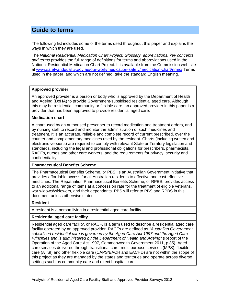# **Guide to terms**

The following list includes some of the terms used throughout this paper and explains the ways in which they are used.

The *National Residential Medication Chart Project: Glossary, abbreviations, key concepts and terms* provides the full range of definitions for terms and abbreviations used in the National Residential Medication Chart Project. It is available from the Commission web site at [www.safetyandquality.gov.au/our-work/medication-safety/medication-chart/nrmc/](http://www.safetyandquality.gov.au/our-work/medication-safety/medication-chart/nrmc/) Terms used in the paper, and which are not defined, take the standard English meaning.

### **Approved provider**

An approved provider is a person or body who is approved by the Department of Health and Ageing (DoHA) to provide Government-subsidised residential aged care. Although this may be residential, community or flexible care, an approved provider in this paper is a provider that has been approved to provide residential aged care.

### **Medication chart**

A chart used by an authorised prescriber to record medication and treatment orders, and by nursing staff to record and monitor the administration of such medicines and treatment. It is an accurate, reliable and complete record of current prescribed, over the counter and complementary medicines used by the resident. Charts (including written and electronic versions) are required to comply with relevant State or Territory legislation and standards, including the legal and professional obligations for prescribers, pharmacists, RACFs, nurses and other care workers, and the requirements for privacy, security and confidentiality.

## **Pharmaceutical Benefits Scheme**

The Pharmaceutical Benefits Scheme, or PBS, is an Australian Government initiative that provides affordable access for all Australian residents to effective and cost-effective medicines. The Repatriation Pharmaceutical Benefits Scheme, or RPBS, provides access to an additional range of items at a concession rate for the treatment of eligible veterans, war widows/widowers, and their dependants. PBS will refer to PBS and RPBS in this document unless otherwise stated.

### **Resident**

A resident is a person living in a residential aged care facility.

### **Residential aged care facility**

Residential aged care facility, or RACF, is a term used to describe a residential aged care facility operated by an approved provider. RACFs are defined as *"Australian Government subsidised residential care is governed by the Aged Care Act 1997 and the Aged Care Principles and is administered by the Department of Health and Ageing"* (Report of the Operation of the Aged Care Act 1997, Commonwealth Government 2011, p.35). Aged care services delivered through transitional care, multi purpose services (MPS), flexible care (ATSI) and other flexible care (CAPS/EACH and EACHD) are not within the scope of this project as they are managed by the states and territories and operate across diverse settings such as community care and direct hospital care.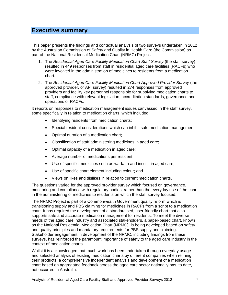# **Executive summary**

This paper presents the findings and contextual analysis of two surveys undertaken in 2012 by the Australian Commission of Safety and Quality in Health Care (the Commission) as part of the National Residential Medication Chart (NRMC) Project.

- 1. The *Residential Aged Care Facility Medication Chart Staff Survey* (the staff survey) resulted in 449 responses from staff in residential aged care facilities (RACFs) who were involved in the administration of medicines to residents from a medication chart.
- 2. The *Residential Aged Care Facility Medication Chart Approved Provider Survey* (the approved provider, or AP, survey) resulted in 274 responses from approved providers and facility key personnel responsible for supplying medication charts to staff, compliance with relevant legislation, accreditation standards, governance and operations of RACFs.

It reports on responses to medication management issues canvassed in the staff survey, some specifically in relation to medication charts, which included:

- Identifying residents from medication charts;
- Special resident considerations which can inhibit safe medication management;
- Optimal duration of a medication chart;
- Classification of staff administering medicines in aged care;
- Optimal capacity of a medication in aged care;
- Average number of medications per resident;
- Use of specific medicines such as warfarin and insulin in aged care;
- Use of specific chart element including colour; and
- Views on likes and dislikes in relation to current medication charts.

The questions varied for the approved provider survey which focused on governance, monitoring and compliance with regulatory bodies, rather than the everyday use of the chart in the administering of medicines to residents on which the staff survey focused.

The NRMC Project is part of a Commonwealth Government quality reform which is transitioning supply and PBS claiming for medicines in RACFs from a script to a medication chart. It has required the development of a standardised, user-friendly chart that also supports safe and accurate medication management for residents. To meet the diverse needs of the aged care industry and associated stakeholders, a paper-based chart, known as the National Residential Medication Chart (NRMC), is being developed based on safety and quality principles and mandatory requirements for PBS supply and claiming. Stakeholder engagement in development of the NRMC, including findings from these surveys, has reinforced the paramount importance of safety to the aged care industry in the context of medication charts.

Whilst it is acknowledged that much work has been undertaken through everyday usage and selected analysis of existing medication charts by different companies when refining their products, a comprehensive independent analysis and development of a medication chart based on aggregated feedback across the aged care sector nationally has, to date, not occurred in Australia.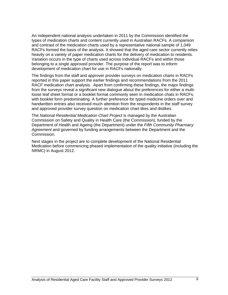An independent national analysis undertaken in 2011 by the Commission identified the types of medication charts and content currently used in Australian RACFs. A comparison and contrast of the medication charts used by a representative national sample of 1,049 RACFs formed the basis of the analysis. It showed that the aged care sector currently relies heavily on a variety of paper medication charts for the delivery of medication to residents. Variation occurs in the type of charts used across individual RACFs and within those belonging to a single approved provider. The purpose of the report was to inform development of medication chart for use in RACFs nationally.

The findings from the staff and approver provider surveys on medication charts in RACFs reported in this paper support the earlier findings and recommendations from the 2011 RACF medication chart analysis. Apart from confirming these findings, the major findings from the surveys reveal a significant new dialogue about the preferences for either a multiloose leaf sheet format or a booklet format commonly seen in medication chats in RACFs, with booklet form predominating. A further preference for typed medicine orders over and handwritten entries also received much attention from the respondents in the staff survey and approved provider survey question on medication chart likes and dislikes.

The *National Residential Medication Chart Project* is managed by the Australian Commission on Safety and Quality in Health Care (the Commission), funded by the Department of Health and Ageing (the Department) under the *Fifth Community Pharmacy Agreement* and governed by funding arrangements between the Department and the Commission.

Next stages in the project are to complete development of the National Residential Medication before commencing phased implementation of the quality initiative (including the NRMC) in August 2012.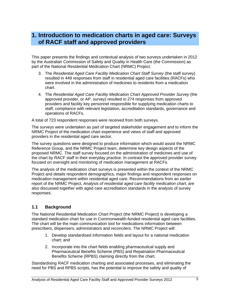# **1. Introduction to medication charts in aged care: Surveys of RACF staff and approved providers**

This paper presents the findings and contextual analysis of two surveys undertaken in 2012 by the Australian Commission of Safety and Quality in Health Care (the Commission) as part of the National Residential Medication Chart (NRMC) Project.

- 3. The *Residential Aged Care Facility Medication Chart Staff Survey* (the staff survey) resulted in 449 responses from staff in residential aged care facilities (RACFs) who were involved in the administration of medicines to residents from a medication chart.
- 4. The *Residential Aged Care Facility Medication Chart Approved Provider Survey* (the approved provider, or AP, survey) resulted in 274 responses from approved providers and facility key personnel responsible for supplying medication charts to staff, compliance with relevant legislation, accreditation standards, governance and operations of RACFs.

A total of 723 respondent responses were received from both surveys.

The surveys were undertaken as part of targeted stakeholder engagement and to inform the NRMC Project of the medication chart experience and views of staff and approved providers in the residential aged care sector.

The survey questions were designed to produce information which would assist the NRMC Reference Group, and the NRMC Project team, determine key design aspects of the proposed NRMC. The staff survey focused on the administration of medicines and use of the chart by RACF staff in their everyday practice. In contrast the approved provider survey focused on oversight and monitoring of medication management at RACFs.

The analysis of the medication chart surveys is presented within the context of the NRMC Project and details respondent demographics, major findings and respondent responses on medication management within residential aged care. Recommendations from an earlier report of the NRMC Project, *Analysis of residential aged care facility medication chart,* are also discussed together with aged care accreditation standards in the analysis of survey responses.

## **1.1 Background**

The National Residential Medication Chart Project (the NRMC Project) is developing a standard medication chart for use in Commonwealth-funded residential aged care facilities. The chart will be the main communication tool for medications information between prescribers, dispensers, administrators and reconcilers. The NRMC Project will:

- 1. Develop standardised information fields and layout for a national medication chart; and
- 2. Incorporate into the chart fields enabling pharmaceutical supply and Pharmaceutical Benefits Scheme (PBS) and Repatriation Pharmaceutical Benefits Scheme (RPBS) claiming directly from the chart.

Standardising RACF medication charting and associated processes, and eliminating the need for PBS and RPBS scripts, has the potential to improve the safety and quality of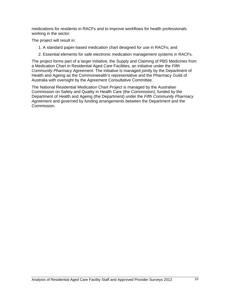medications for residents in RACFs and to improve workflows for health professionals working in the sector.

The project will result in:

- 1. A standard paper-based medication chart designed for use in RACFs; and
- 2. Essential elements for safe electronic medication management systems in RACFs.

The project forms part of a larger initiative, the Supply and Claiming of PBS Medicines from a Medication Chart in Residential Aged Care Facilities, an initiative under the *Fifth Community Pharmacy Agreement*. The initiative is managed jointly by the Department of Health and Ageing as the Commonwealth's representative and the Pharmacy Guild of Australia with oversight by the Agreement Consultative Committee.

The National Residential Medication Chart Project is managed by the Australian Commission on Safety and Quality in Health Care (the Commission), funded by the Department of Health and Ageing (the Department) under the *Fifth Community Pharmacy Agreement* and governed by funding arrangements between the Department and the Commission.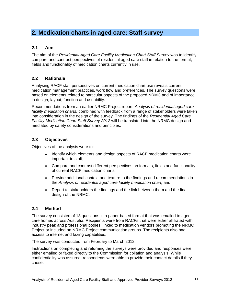# **2. Medication charts in aged care: Staff survey**

# **2.1 Aim**

The aim of the *Residential Aged Care Facility Medication Chart Staff Survey* was to identify, compare and contrast perspectives of residential aged care staff in relation to the format, fields and functionality of medication charts currently in use.

# **2.2 Rationale**

Analysing RACF staff perspectives on current medication chart use reveals current medication management practices, work flow and preferences. The survey questions were based on elements related to particular aspects of the proposed NRMC and of importance in design, layout, function and useability.

Recommendations from an earlier NRMC Project report, *Analysis of residential aged care facility medication charts,* combined with feedback from a range of stakeholders were taken into consideration in the design of the survey. The findings of the *Residential Aged Care Facility Medication Chart Staff Survey 2012* will be translated into the NRMC design and mediated by safety considerations and principles.

# **2.3 Objectives**

Objectives of the analysis were to:

- Identify which elements and design aspects of RACF medication charts were important to staff;
- Compare and contrast different perspectives on formats, fields and functionality of current RACF medication charts;
- Provide additional context and texture to the findings and recommendations in the *Analysis of residential aged care facility medication chart;* and
- Report to stakeholders the findings and the link between them and the final design of the NRMC.

# **2.4 Method**

The survey consisted of 18 questions in a paper-based format that was emailed to aged care homes across Australia. Recipients were from RACFs that were either affiliated with industry peak and professional bodies, linked to medication vendors promoting the NRMC Project or included on NRMC Project communication groups. The recipients also had access to internet and faxing capabilities.

The survey was conducted from February to March 2012.

Instructions on completing and returning the surveys were provided and responses were either emailed or faxed directly to the Commission for collation and analysis. While confidentiality was assured, respondents were able to provide their contact details if they chose.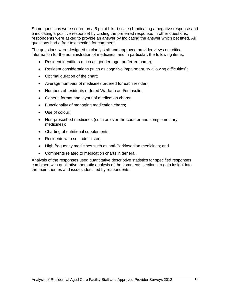Some questions were scored on a 5 point Likert scale (1 indicating a negative response and 5 indicating a positive response) by circling the preferred response. In other questions, respondents were asked to provide an answer by indicating the answer which bet fitted. All questions had a free text section for comment.

The questions were designed to clarify staff and approved provider views on critical information for the administration of medicines, and in particular, the following items:

- Resident identifiers (such as gender, age, preferred name);
- Resident considerations (such as cognitive impairment, swallowing difficulties);
- Optimal duration of the chart;
- Average numbers of medicines ordered for each resident;
- Numbers of residents ordered Warfarin and/or insulin;
- General format and layout of medication charts;
- Functionality of managing medication charts;
- Use of colour:
- Non-prescribed medicines (such as over-the-counter and complementary medicines);
- Charting of nutritional supplements;
- Residents who self administer;
- High frequency medicines such as anti-Parkinsonian medicines; and
- Comments related to medication charts in general.

Analysis of the responses used quantitative descriptive statistics for specified responses combined with qualitative thematic analysis of the comments sections to gain insight into the main themes and issues identified by respondents.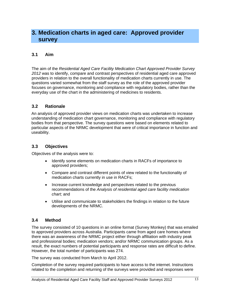# **3. Medication charts in aged care: Approved provider survey**

## **3.1 Aim**

The aim of the *Residential Aged Care Facility Medication Chart Approved Provider Survey 2012* was to identify, compare and contrast perspectives of residential aged care approved providers in relation to the overall functionality of medication charts currently in use. The questions varied somewhat from the staff survey as the role of the approved provider focuses on governance, monitoring and compliance with regulatory bodies, rather than the everyday use of the chart in the administering of medicines to residents.

## **3.2 Rationale**

An analysis of approved provider views on medication charts was undertaken to increase understanding of medication chart governance, monitoring and compliance with regulatory bodies from that perspective. The survey questions were based on elements related to particular aspects of the NRMC development that were of critical importance in function and useability.

# **3.3 Objectives**

Objectives of the analysis were to:

- Identify some elements on medication charts in RACFs of importance to approved providers;
- Compare and contrast different points of view related to the functionality of medication charts currently in use in RACFs;
- Increase current knowledge and perspectives related to the previous recommendations of the *Analysis of residential aged care facility medication chart;* and
- Utilise and communicate to stakeholders the findings in relation to the future developments of the NRMC.

## **3.4 Method**

The survey consisted of 10 questions in an online format (Survey Monkey) that was emailed to approved providers across Australia. Participants came from aged care homes where there was an awareness of the NRMC project either through affiliation with industry peak and professional bodies; medication vendors; and/or NRMC communication groups. As a result, the exact numbers of potential participants and response rates are difficult to define. However, the total number of participants was 274.

The survey was conducted from March to April 2012.

Completion of the survey required participants to have access to the internet. Instructions related to the completion and returning of the surveys were provided and responses were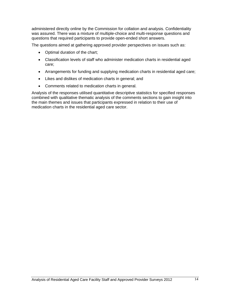administered directly online by the Commission for collation and analysis. Confidentiality was assured. There was a mixture of multiple-choice and multi-response questions and questions that required participants to provide open-ended short answers.

The questions aimed at gathering approved provider perspectives on issues such as:

- Optimal duration of the chart;
- Classification levels of staff who administer medication charts in residential aged care;
- Arrangements for funding and supplying medication charts in residential aged care;
- Likes and dislikes of medication charts in general; and
- Comments related to medication charts in general.

Analysis of the responses utilised quantitative descriptive statistics for specified responses combined with qualitative thematic analysis of the comments sections to gain insight into the main themes and issues that participants expressed in relation to their use of medication charts in the residential aged care sector.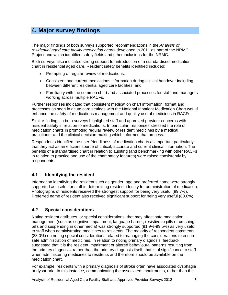# **4. Major survey findings**

The major findings of both surveys supported recommendations in the *Analysis of residential aged care facility medication charts* developed in 2011 as part of the NRMC Project and which identified safety fields and other inclusions for the NRMC.

Both surveys also indicated strong support for introduction of a standardised medication chart in residential aged care. Resident safety benefits identified included:

- Prompting of regular review of medications;
- Consistent and current medications information during clinical handover including between different residential aged care facilities; and
- Familiarity with the common chart and associated processes for staff and managers working across multiple RACFs.

Further responses indicated that consistent medication chart information, format and processes as seen in acute care settings with the National Inpatient Medication Chart would enhance the safety of medications management and quality use of medicines in RACFs.

Similar findings in both surveys highlighted staff and approved provider concerns with resident safety in relation to medications. In particular, responses stressed the role of medication charts in prompting regular review of resident medicines by a medical practitioner and the clinical decision-making which informed that process.

Respondents identified the user-friendliness of medication charts as important particularly that they act as an efficient source of critical, accurate and current clinical information. The benefits of a standardised chart in relation to auditing (and benchmarking with other RACFs in relation to practice and use of the chart safety features) were raised consistently by respondents.

# **4.1 Identifying the resident**

Information identifying the resident such as gender, age and preferred name were strongly supported as useful for staff in determining resident identity for administration of medication. Photographs of residents received the strongest support for being very useful (99.7%). Preferred name of resident also received significant support for being very useful (88.6%).

# **4.2 Special considerations**

Noting resident attributes, or special considerations, that may affect safe medication management (such as cognitive impairment, language barrier, resistive to pills or crushing pills and suspending in other media) was strongly supported (91.9%-99.5%) as very useful to staff when administrating medicines to residents. The majority of respondent comments (83.0%) on noting special considerations related to managing the considerations to ensure safe administration of medicines. In relation to noting primary diagnosis, feedback suggested that it is the resident impairment or altered behavioural patterns resulting from the primary diagnosis, rather than the primary diagnosis itself, that is of significance to staff when administering medicines to residents and therefore should be available on the medication chart.

For example, residents with a primary diagnosis of stroke often have associated dysphagia or dysarthria. In this instance, communicating the associated impairments, rather than the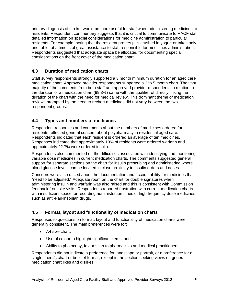primary diagnosis of stroke, would be more useful for staff when administering medicines to residents. Respondent commentary suggests that it is critical to communicate to RACF staff detailed information on special considerations for medicine administration to particular residents. For example, noting that the resident prefers pills crushed in yogurt or takes only one tablet at a time is of great assistance to staff responsible for medicines administration. Respondents suggested that adequate space be allocated for documenting special considerations on the front cover of the medication chart.

# **4.3 Duration of medication charts**

Staff survey respondents strongly supported a 3 month minimum duration for an aged care medication chart. Approved provider respondents supported a 3 to 5 month chart. The vast majority of the comments from both staff and approved provider respondents in relation to the duration of a medication chart (99.3%) came with the qualifier of directly linking the duration of the chart with the need for medical review. This dominant theme of medication reviews prompted by the need to rechart medicines did not vary between the two respondent groups.

# **4.4 Types and numbers of medicines**

Respondent responses and comments about the numbers of medicines ordered for residents reflected general concern about polypharmacy in residential aged care. Respondents indicated that each resident is ordered an average of ten medicines. Responses indicated that approximately 18% of residents were ordered warfarin and approximately 22.7% were ordered insulin.

Respondents also commented on the difficulties associated with identifying and monitoring variable dose medicines in current medication charts. The comments suggested general support for separate sections on the chart for insulin prescribing and administering where blood glucose levels can be located in close proximity to insulin orders and doses.

Concerns were also raised about the documentation and accountability for medicines that "need to be adjusted." Adequate room on the chart for double signatures when administering insulin and warfarin was also raised and this is consistent with Commission feedback from site visits. Respondents reported frustration with current medication charts with insufficient space for recording administration times of high frequency dose medicines such as anti-Parkinsonian drugs.

# **4.5 Format, layout and functionality of medication charts**

Responses to questions on format, layout and functionality of medication charts were generally consistent. The main preferences were for:

- A4 size chart;
- Use of colour to highlight significant items; and
- Ability to photocopy, fax or scan to pharmacists and medical practitioners.

Respondents did not indicate a preference for landscape or portrait, or a preference for a single sheet/s chart or booklet format, except in the section seeking views on general medication chart likes and dislikes.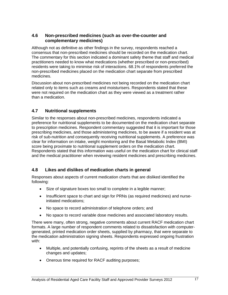# **4.6 Non-prescribed medicines (such as over-the-counter and complementary medicines)**

Although not as definitive as other findings in the survey, respondents reached a consensus that non-prescribed medicines should be recorded on the medication chart. The commentary for this section indicated a dominant safety theme that staff and medical practitioners needed to know what medications (whether prescribed or non-prescribed) residents were taking to minimise risk of interactions. 68.1% of respondents preferred the non-prescribed medicines placed on the medication chart separate from prescribed medicines.

Discussion about non-prescribed medicines not being recorded on the medication chart related only to items such as creams and moisturisers. Respondents stated that these were not required on the medication chart as they were viewed as a treatment rather than a medication.

# **4.7 Nutritional supplements**

Similar to the responses about non-prescribed medicines, respondents indicated a preference for nutritional supplements to be documented on the medication chart separate to prescription medicines. Respondent commentary suggested that it is important for those prescribing medicines, and those administering medicines, to be aware if a resident was at risk of sub-nutrition and consequently receiving nutritional supplements. A preference was clear for information on intake, weight monitoring and the Basal Metabolic Index (BMI) score being proximate to nutritional supplement orders on the medication chart. Respondents stated that this information was useful on the medication chart for clinical staff and the medical practitioner when reviewing resident medicines and prescribing medicines.

# **4.8 Likes and dislikes of medication charts in general**

Responses about aspects of current medication charts that are disliked identified the following:

- Size of signature boxes too small to complete in a legible manner;
- Insufficient space to chart and sign for PRNs (as required medicines) and nurseinitiated medications;
- No space to record administration of telephone orders; and
- No space to record variable dose medicines and associated laboratory results.

There were many, often strong, negative comments about current RACF medication chart formats. A large number of respondent comments related to dissatisfaction with computergenerated, printed medication order sheets, supplied by pharmacy, that were separate to the medication administration signing sheets. Respondents expressed ongoing frustration with:

- Multiple, and potentially confusing, reprints of the sheets as a result of medicine changes and updates;
- Onerous time required for RACF auditing purposes;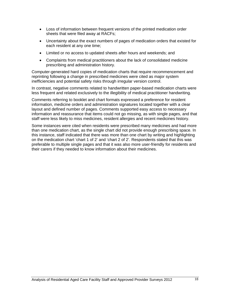- Loss of information between frequent versions of the printed medication order sheets that were filed away at RACFs;
- Uncertainty about the exact numbers of pages of medication orders that existed for each resident at any one time;
- Limited or no access to updated sheets after hours and weekends; and
- Complaints from medical practitioners about the lack of consolidated medicine prescribing and administration history.

Computer-generated hard copies of medication charts that require recommencement and reprinting following a change in prescribed medicines were cited as major system inefficiencies and potential safety risks through irregular version control.

In contrast, negative comments related to handwritten paper-based medication charts were less frequent and related exclusively to the illegibility of medical practitioner handwriting.

Comments referring to booklet and chart formats expressed a preference for resident information, medicine orders and administration signatures located together with a clear layout and defined number of pages. Comments supported easy access to necessary information and reassurance that items could not go missing, as with single pages, and that staff were less likely to miss medicines, resident allergies and recent medicines history.

Some instances were cited when residents were prescribed many medicines and had more than one medication chart, as the single chart did not provide enough prescribing space. In this instance, staff indicated that there was more than one chart by writing and highlighting on the medication chart 'chart 1 of 2' and 'chart 2 of 2'. Respondents stated that this was preferable to multiple single pages and that it was also more user-friendly for residents and their carers if they needed to know information about their medicines.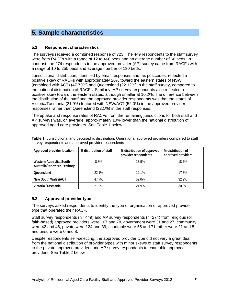# **5. Sample characteristics**

### **5.1 Respondent characteristics**

The surveys received a combined response of 723. The 449 respondents to the staff survey were from RACFs with a range of 12 to 460 beds and an average number of 66 beds. In contrast, the 274 respondents to the approved provider (AP) survey came from RACFs with a range of 10 to 250 beds and average number of 130 beds.

Jurisdictional distribution, identified by email responses and fax postcodes, reflected a positive skew of RACFs with approximately 20% toward the eastern states of NSW (combined with ACT) (47.79%) and Queensland (22.12%) in the staff survey, compared to the national distribution of RACFs. Similarly, AP survey respondents also reflected a positive skew toward the eastern states, although smaller at 10.2%. The difference between the distribution of the staff and the approved provider respondents was that the states of Victoria/Tasmania (21.9%) featured with NSW/ACT (52.0%) in the approved provider responses rather than Queensland (22.1%) in the staff responses.

The uptake and response rates of RACFs from the remaining jurisdictions for both staff and AP surveys was, on average, approximately 10% lower than the national distribution of approved aged care providers. See Table 1 below.

| Approved provider location                                       | % distribution of staff | % distribution of approved<br>provider respondents | % distribution of<br>approved providers |
|------------------------------------------------------------------|-------------------------|----------------------------------------------------|-----------------------------------------|
| Western Australia /South<br><b>Australia/ Northern Territory</b> | 8.8%                    | 13.9%                                              | 18.7%                                   |
| Queensland                                                       | 22.1%                   | 12.1%                                              | 17.3%                                   |
| New South Wales/ACT                                              | 47.7%                   | 52.0%                                              | 32.9%                                   |
| Victoria /Tasmania                                               | 21.2%                   | 21.9%                                              | 30.8%                                   |

**Table 1:** Jurisdictional and geographic distribution: Operational approved providers compared to staff survey respondents and approved provider respondents

## **5.2 Approved provider type**

The surveys asked respondents to identify the type of organisation or approved provider type that operated their RACF.

Staff survey respondents (n= 449) and AP survey respondents (n=274) from religious (or faith-based) approved providers were 167 and 78, government were 31 and 27, community were 42 and 46, private were 124 and 39, charitable were 55 and 71, other were 21 and 8 and unsure were 0 and 8.

Despite respondents self-selecting, the approved provider type did not vary a great deal from the national distribution of provider types with minor skews of staff survey respondents to the private approved providers and AP survey respondents to charitable approved providers. See Table 2 below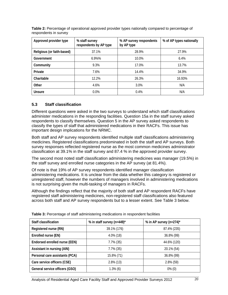| Approved provider type     | % staff survey<br>respondents by AP type | % AP survey respondents<br>by AP type | % of AP types nationally |
|----------------------------|------------------------------------------|---------------------------------------|--------------------------|
| Religious (or faith-based) | 37.1%                                    | 28.9%                                 | 27.9%                    |
| Government                 | 6.9%%                                    | 10.0%                                 | 6.4%                     |
| Community                  | 9.3%                                     | 17.0%                                 | 13.7%                    |
| Private                    | 7.6%                                     | 14.4%                                 | 34.9%                    |
| Charitable                 | 12.2%                                    | 26.3%                                 | 16.93%                   |
| Other                      | 4.6%                                     | 3.0%                                  | N/A                      |
| Unsure                     | $0.0\%$                                  | 0.4%                                  | N/A                      |

**Table 2:** Percentage of operational approved provider types nationally compared to percentage of respondents in survey

## **5.3 Staff classification**

Different questions were asked in the two surveys to understand which staff classifications administer medications in the responding facilities. Question 15a in the staff survey asked respondents to classify themselves. Question 5 in the AP survey asked respondents to classify the types of staff that administered medications in their RACFs. This issue has important design implications for the NRMC.

Both staff and AP survey respondents identified multiple staff classifications administering medicines. Registered classifications predominated in both the staff and AP surveys. Both survey responses reflected registered nurse as the most common medicines administrator classification at 39.1% in the staff survey and 87.4 % in the approved provider survey.

The second most noted staff classification administering medicines was manager (19.5%) in the staff survey and enrolled nurse categories in the AP survey (at 81.4%).

Of note is that 19% of AP survey respondents identified manager classification administering medications. It is unclear from the data whether this category is registered or unregistered staff, however the numbers of managers involved in administering medications is not surprising given the multi-tasking of managers in RACFs.

Although the findings reflect that the majority of both staff and AP respondent RACFs have registered staff administering medicines, non-registered staff classifications also featured across both staff and AP survey respondents but to a lesser extent. See Table 3 below.

| Staff classification           | % in staff survey (n=449)* | % in AP survey $(n=274)^*$ |
|--------------------------------|----------------------------|----------------------------|
| Registered nurse (RN)          | 39.1% (176)                | 87.4% (235)                |
| Enrolled nurse (EN)            | $4.0\%$ (18)               | 36.8% (99)                 |
| Endorsed enrolled nurse (EEN)  | $7.7\%$ (35)               | 44.6% (120)                |
| Assistant in nursing (AIN)     | $7.7\%$ (35)               | 20.1% (54)                 |
| Personal care assistants (PCA) | 15.8% (71)                 | 36.8% (99)                 |
| Care service officers (CSE)    | $2.8\%$ (13)               | $2.8\%$ (59)               |
| General service officers (GSO) | $1.3\%$ (6)                | $0\%$ (0)                  |

**Table 3:** Percentage of staff administering medications in respondent facilities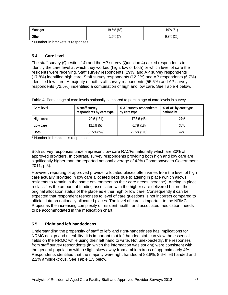| Manager | 19.5% (88)    | 19% (51)     |
|---------|---------------|--------------|
| Other   | $1.5\%$ $(7)$ | $9.3\%$ (25) |

\* Number in brackets is responses

### **5.4 Care level**

The staff survey (Question 14) and the AP survey (Question 4) asked respondents to identify the care level at which they worked (high, low or both) or which level of care the residents were receiving. Staff survey respondents (29%) and AP survey respondents (17.8%) identified high care. Staff survey respondents (12.2%) and AP respondents (6.7%) identified low care. A majority of both staff survey respondents (55.5%) and AP survey respondents (72.5%) indentified a combination of high and low care. See Table 4 below.

| Care level  | % staff survey<br>respondents by care type |              | % of AP by care type<br>nationally |
|-------------|--------------------------------------------|--------------|------------------------------------|
| High care   | 29% (131)                                  | 17.8% (48)   | 27%                                |
| Low care    | 12.2% (55)                                 | $6.7\%$ (18) | 30%                                |
| <b>Both</b> | 55.5% (249)                                | 72.5% (195)  | 42%                                |

**Table 4:** Percentage of care levels nationally compared to percentage of care levels in survey

\* Number in brackets is responses

Both survey responses under-represent low care RACFs nationally which are 30% of approved providers. In contrast, survey respondents providing both high and low care are significantly higher than the reported national average of 42% (Commonwealth Government 2011, p.5).

However, reporting of approved provider allocated places often varies from the level of high care actually provided in low care allocated beds due to ageing in place (which allows residents to remain in the same environment as their care needs increase). Ageing in place reclassifies the amount of funding associated with the higher care delivered but not the original allocation status of the place as either high or low care. Consequently it can be expected that respondent responses to level of care questions is not incorrect compared to official data on nationally allocated places. The level of care is important to the NRMC Project as the increasing complexity of resident health, and associated medication, needs to be accommodated in the medication chart.

## **5.5 Right and left handedness**

Understanding the propensity of staff to left- and right-handedness has implications for NRMC design and useability. It is important that left handed staff can view the essential fields on the NRMC while using their left hand to write. Not unexpectedly, the responses from staff survey respondents (in which the information was sought) were consistent with the general population with a slight skew away from ambidextrous of approximately 4%. Respondents identified that the majority were right handed at 88.8%, 8.6% left handed and 2.2% ambidextrous. See Table 1.5 below..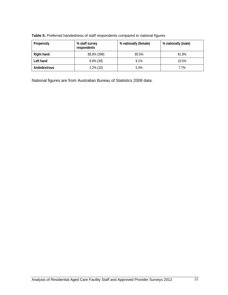| Propensity   | % staff survey<br>respondents | % nationally (female) | % nationally (male) |
|--------------|-------------------------------|-----------------------|---------------------|
| Right hand   | 88.8% (399)                   | 85.5%                 | 81.8%               |
| Left hand    | $8.6\%$ (39)                  | 9.1%                  | 10.5%               |
| Ambidextrous | $2.2\%$ (10)                  | 5.4%                  | 7.7%                |

**Table 5:** Preferred handedness of staff respondents compared to national figures

National figures are from Australian Bureau of Statistics 2008 data.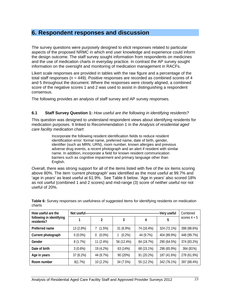# **6. Respondent responses and discussion**

The survey questions were purposely designed to elicit responses related to particular aspects of the proposed NRMC in which end user knowledge and experience could inform the design outcome. The staff survey sought information from respondents on medicines and the use of medication charts in everyday practice. In contrast the AP survey sought information on the oversight and monitoring of medication management in RACFs.

Likert scale responses are provided in tables with the raw figure and a percentage of the total staff responses ( $n = 449$ ). Positive responses are recorded as combined scores of 4 and 5 throughout the document. Where the responses were closely aligned, a combined score of the negative scores 1 and 2 was used to assist in distinguishing a respondent consensus.

The following provides an analysis of staff survey and AP survey responses.

### **6.1 Staff Survey Question 1:** *How useful are the following in identifying residents?*

This question was designed to understand respondent views about identifying residents for medication purposes. It linked to Recommendation 1 in the *Analysis of residential aged care facility medication chart*:

> Incorporate the following resident identification fields to reduce resident identification error: formal name, preferred name, date of birth, gender, identifier (such as MRN, URN), room number, known allergies and previous adverse drug events, a recent photograph and an alert if resident with similar name. In addition, incorporate a field for known resident communication barriers such as cognitive impairment and primary language other than English.

Overall, there was strong support for all of the items listed with five of the six items scoring above 80%. The item 'current photograph' was identified as the most useful at 99.7% and 'age in years' as least useful at 61.9%. See Table 6 below. 'Age in years' also scored 18% as not useful (combined 1 and 2 scores) and mid-range (3) score of neither useful nor not useful of 20%.

| How useful are the                     | Not useful- | Combined              |            |            |             |                |
|----------------------------------------|-------------|-----------------------|------------|------------|-------------|----------------|
| following in identifying<br>residents? |             | 2                     | 3          | 4          | 5           | scores $4 + 5$ |
| Preferred name                         | 13 (2.8%)   | (1.5%)                | 31 (6.9%)  | 74 (16.4%) | 324 (72.1%) | 398 (88.6%)    |
| Current photograph                     | $0(0.0\%)$  | $(0.0\%)$<br>$\bf{0}$ | $(0.2\%)$  | 44 (9.7%)  | 404 (89.9%) | 448 (99.7%)    |
| Gender                                 | 8(1.7%)     | 11 (2.4%)             | 56 (12.4%) | 84 (18.7%) | 290 (64.5%) | 374 (83.2%)    |
| Date of birth                          | 3(0.6%)     | 19 (4.2%)             | 63 (14%)   | 68 (15.1%) | 296 (65.9%) | 364 (81%)      |
| Age in years                           | 37 (8.2%)   | 44 (9.7%)             | 90 (20%)   | 91 (20.2%) | 187 (41.6%) | 278 (61.9%)    |
| Room number                            | 8(1.7%)     | 10 (2.2%)             | 34 (7.5%)  | 55 (12.2%) | 342 (76.1%) | 397 (88.4%)    |

**Table 6:** Survey responses on usefulness of suggested items for identifying residents on medication charts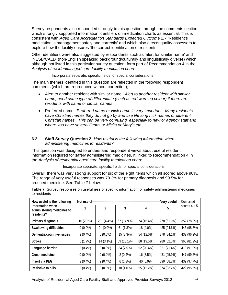Survey respondents also responded strongly to this question through the comments section which strongly supported information identifiers on medication charts as essential. This is consistent with *Aged Care Accreditation Standards Expected Outcome 2.7* 'Resident's medication is management safely and correctly' and which also directs quality assessors to explore how the facility ensures 'the correct identification of residents'.

Other identifiers were also suggested by respondents such as 'alert for similar name' and 'NESB/CALD' (non-English speaking background/culturally and linguistically diverse) which, although not listed in this particular survey question, form part of Recommendation 4 in the *Analysis of residential aged care facility medication chart*:

Incorporate separate, specific fields for special considerations.

The main themes identified in this question are reflected in the following respondent comments (which are reproduced without correction);

- Alert to another resident with similar name; '*Alert to another resident with similar name, need some type of differentiate (such as red warning colour) if there are residents with same or similar names'*
- Preferred name; '*Preferred name or Nick name is very important. Many residents have Christian names they do not go by and use life long nick names or different Christian names. This can be very confusing, especially to new or agency staff and where you have several Jeans or Micks or Mary's etc…'*

### **6.2 Staff Survey Question 2:** *How useful is the following information when administering medicines to residents?*

This question was designed to understand respondent views about useful resident information required for safely administering medicines. It linked to Recommendation 4 in the *Analysis of residential aged care facility medication chart*:

Incorporate separate, specific fields for special considerations.

Overall, there was very strong support for six of the eight items which all scored above 90%. The range of very useful responses was 78.3% for primary diagnosis and 99.5% for crushed medicine. See Table 7 below.

| How useful is the following                                  | Not useful-- | Combined                    |                |            |             |                |
|--------------------------------------------------------------|--------------|-----------------------------|----------------|------------|-------------|----------------|
| information when<br>administering medicines to<br>residents? | 1            | $\mathfrak{p}$              | 3              | 4          | 5           | scores $4 + 5$ |
| Primary diagnosis                                            | 10 (2.2%)    | $(4.4\%)$<br>20             | 67 (14.9%)     | 74 (16.4%) | 278 (61.9%) | 352 (78.3%)    |
| <b>Swallowing difficulties</b>                               | $0(0.0\%)$   | $(0.0\%)$<br>$\overline{0}$ | $(1.3\%)$<br>6 | 18 (4.0%)  | 425 (94.6%) | 443 (98.6%)    |
| Dementia/cognitive issues                                    | $2(0.4\%)$   | $0(0.0\%)$                  | 15 (3.3%)      | 54 (12.0%) | 378 (84.1%) | 432 (96.2%)    |
| <b>Stroke</b>                                                | 8(1.7%)      | 14 (3.1%)                   | 59 (13.1%)     | 88 (19.5%) | 280 (62.3%) | 368 (81.9%)    |
| Language barrier                                             | $2(0.4\%)$   | $0(0.0\%)$                  | 34 (7.5%)      | 92 (20.4%) | 321 (71.4%) | 413 (91.9%)    |
| Crush medicine                                               | $0(0.0\%)$   | $0(0.0\%)$                  | $2(0.4\%)$     | 16 (3.5%)  | 431 (95.9%) | 447 (99.5%)    |
| Insert via PEG                                               | $2(0.4\%)$   | $2(0.4\%)$                  | $6(1.3\%)$     | 40 (8.9%)  | 399 (88.8%) | 439 (97.7%)    |
| Resistive to pills                                           | $2(0.4\%)$   | $0(0.0\%)$                  | 18 (4.0%)      | 55 (12.2%) | 374 (83.2%) | 429 (95.5%)    |

**Table 7:** Survey responses on usefulness of specific information for safety administering medicines to residents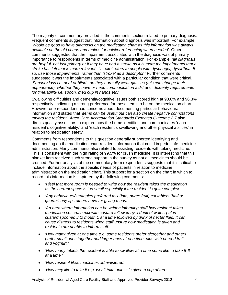The majority of commentary provided in the comments section related to primary diagnosis. Frequent comments suggest that information about diagnosis was important. For example, '*Would be good to have diagnosis on the medication chart as this information was always available on the old charts and makes for quicker referencing when needed*'. Other comments suggested that the impairment associated with the diagnosis was of primary importance to respondents in terms of medicine administration. For example, '*all diagnosis are helpful, not just primary or if they have had a stroke as it is more the impairments that a stroke has left that is more relevant*'; *''stroke' refers to people with dysphagia, dysarthria. If so, use those impairments, rather than 'stroke' as a descriptor.*' Further comments suggested it was the impairments associated with a particular condition that were critical. '*Sensory loss i.e. deaf or blind...do they normally wear glasses (this can change their appearance), whether they have or need communication aids*' and '*dexterity requirements for time/ability i.e. spoon, med cup in hands etc.*'

Swallowing difficulties and dementia/cognitive issues both scored high at 98.6% and 96.3% respectively, indicating a strong preference for these items to be on the medication chart. However one respondent had concerns about documenting particular behavioural information and stated that *'items can be useful but can also create negative connotations toward the resident'*. *Aged Care Accreditation Standards Expected Outcome 2.7* also directs quality assessors to explore how the home identifies and communicates 'each resident's cognitive ability,' and 'each resident's swallowing and other physical abilities' in relation to medication safety.

Comments from respondents to this question generally supported identifying and documenting on the medication chart resident information that could impede safe medicine administration. Many comments also related to assisting residents with taking medicine. This is consistent with the high rating of 99.5% for crush medicine. It is interesting that this blanket item received such strong support in the survey as not all medicines should be crushed. Further analysis of the commentary from respondents suggests that it is critical to include information about the specific needs of patients in relation to medicine administration on the medication chart. This support for a section on the chart in which to record this information is captured by the following comments:

- *'I feel that more room is needed to write how the resident takes the medication as the current space is too small especially if the resident is quite complex.'*
- *'Any behaviours/strategies preferred mix (jam, puree fruit) cut tablets (half or quarter) any tips others have for giving meds.'*
- *'An area where information can be written informing staff how resident takes medication i.e. crush mix with custard followed by a drink of water, put in custard spooned into mouth 1 at a time followed by drink of nectar fluid. It can cause distress to residents when staff unsure how medication is taken and residents are unable to inform staff.'*
- *'How many given at one time e.g. some residents prefer altogether and others prefer small ones together and larger ones at one time, plus with pureed fruit and yoghurt.'*
- *'How many tablets the resident is able to swallow at a time some like to take 5-6 at a time.'*
- *'How resident likes medicines administered.'*
- *'How they like to take it e.g. won't take unless is given a cup of tea.'*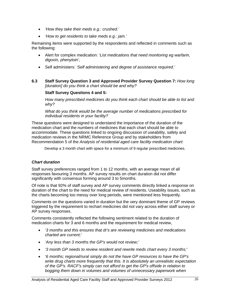- *'How they take their meds e.g.: crushed.'*
- *'How to get residents to take meds e.g.: jam.'*

Remaining items were supported by the respondents and reflected in comments such as the following:

- Alert for complex medication: '*List medications that need monitoring eg warfarin, digoxin, phenytoin'*,
- Self administers: *'Self administering and degree of assistance required.'*
- **6.3 Staff Survey Question 3 and Approved Provider Survey Question 7:** *How long [duration] do you think a chart should be and why?*

### **Staff Survey Questions 4 and 5:**

*How many prescribed medicines do you think each chart should be able to list and why?*

*What do you think would be the average number of medications prescribed for individual residents in your facility?* 

These questions were designed to understand the importance of the duration of the medication chart and the numbers of medicines that each chart should be able to accommodate. These questions linked to ongoing discussion of useability, safety and medication reviews in the NRMC Reference Group and by stakeholders from Recommendation 5 of the *Analysis of residential aged care facility medication chart*:

Develop a 3 month chart with space for a minimum of 9 regular prescribed medicines.

### *Chart duration*

Staff survey preferences ranged from 1 to 12 months, with an average mean of all responses favouring 3 months. AP survey results on chart duration did not differ significantly with consensus forming around 3 to 5months.

Of note is that 92% of staff survey and AP survey comments directly linked a response on duration of the chart to the need for medical review of residents. Useability issues, such as the charts becoming too messy over long periods, were mentioned less frequently.

Comments on the questions varied in duration but the very dominant theme of GP reviews triggered by the requirement to rechart medicines did not vary across either staff survey or AP survey responses.

Comments consistently reflected the following sentiment related to the duration of medication charts for 3 and 6 months and the requirement for medical review,

- *'3 months and this ensures that dr's are reviewing medicines and medications charted are current;'*
- *'Any less than 3 months the GP's would not review;'*
- *'3 month GP needs to review resident and rewrite meds chart every 3 months;'*
- *'6 months; regional/rural simply do not the have GP resources to have the GP's write drug charts more frequently that this. It is absolutely an unrealistic expectation of the GP's. RACF's simply can not afford to get the GP's offside in relation to bogging them down in volumes and volumes of unnecessary paperwork when*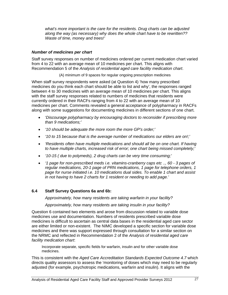*what's more important is the care for the residents. Drug charts can be adjusted along the way (as necessary) why does the whole chart have to be rewritten?? Waste of time, money and trees!'* 

### *Number of medicines per chart*

Staff survey responses on number of medicines ordered per current medication chart varied from 4 to 22 with an average mean of 10 medicines per chart. This aligns with Recommendation 5 of the *Analysis of residential aged care facility medication chart*.

(A) minimum of 9 spaces for regular ongoing prescription medicines

When staff survey respondents were asked (at Question 4) 'how many prescribed medicines do you think each chart should be able to list and why', the responses ranged between 4 to 30 medicines with an average mean of 10 medicines per chart. This aligns with the staff survey responses related to numbers of medicines that residents were currently ordered in their RACFs ranging from 4 to 22 with an average mean of 10 medicines per chart. Comments revealed a general acceptance of polypharmacy in RACFs along with some suggestions for documenting medicines in different sections of one chart.

- '*Discourage polypharmacy by encouraging doctors to reconsider if prescribing more than 9 medications;'*
- *'10 should be adequate the more room the more GP's order;'*
- *'10 to 15 because that is the average number of medications our elders are on!;'*
- *'Residents often have multiple medications and should all be on one chart. If having to have multiple charts, increased risk of error; one chart being missed completely;'*
- *'10-15 ( due to polymeds), 2 drug charts can be very time consuming;'*
- *'1 page for non-prescribed meds i.e. vitamins-cranberry caps etc .., 60 3 pages of regular medications, 20-1 page of PRN medications, 1 page for telephone orders, 1 page for nurse initiated i.e. 10 medications dual sides. To enable 1 chart and assist in not having to have 2 charts for 1 resident or needing to add page.'*

### **6.4 Staff Survey Questions 6a and 6b:**

*Approximately, how many residents are taking warfarin in your facility?* 

*Approximately, how many residents are taking insulin in your facility?*

Question 6 contained two elements and arose from discussion related to variable dose medicines use and documentation. Numbers of residents prescribed variable dose medicines is difficult to ascertain as central data bases in the residential aged care sector are either limited or non-existent. The NIMC developed a specific section for variable dose medicines and there was support expressed through consultation for a similar section on the NRMC and reflected in Recommendation 2 of the *Analysis of residential aged care facility medication chart*:

Incorporate separate, specific fields for warfarin, insulin and for other variable dose medicines.

This is consistent with the *Aged Care Accreditation Standards Expected Outcome 4.7* which directs quality assessors to assess the 'monitoring of doses which may need to be regularly adjusted (for example, psychotropic medications, warfarin and insulin). It aligns with the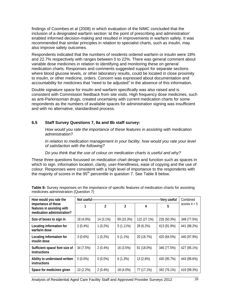findings of Coombes et al (2008) in which evaluation of the NIMC concluded that the inclusion of a designated warfarin section 'at the point of prescribing and administration' enabled informed decision-making and resulted in improvements in warfarin safety. It was recommended that similar principles in relation to specialist charts, such as insulin, may also improve safety outcomes.

Respondents indicated that the numbers of residents ordered warfarin or insulin were 18% and 22.7% respectively with ranges between 0 to 22%. There was general comment about variable dose medicines in relation to identifying and monitoring these on general medication charts. Responses and comments suggested support for separate sections where blood glucose levels, or other laboratory results, could be located in close proximity to insulin, or other medicine, orders. Concern was expressed about documentation and accountability for medicines that "need to be adjusted" in the absence of this information.

Double signature space for insulin and warfarin specifically was also raised and is consistent with Commission feedback from site visits. High frequency dose medicines, such as anti-Parkinsonian drugs, created uncertainty with current medication charts for some respondents as the numbers of available spaces for administration signing was insufficient and with no alternative, standardised process.

### **6.5 Staff Survey Questions 7, 8a and 8b staff survey:**

*How would you rate the importance of these features in assisting with medication administration?* 

*In relation to medication management in your facility, how would you rate your level of satisfaction with the following?* 

*Do you think that the use of colour on medication charts is useful and why?* 

These three questions focussed on medication chart design and function such as spaces in which to sign, information location, clarity, user-friendliness, ease of copying and the use of colour. Responses were consistent with a high level of importance to the respondents with the majority of scores in the  $95<sup>th</sup>$  percentile in question 7. See Table 8 below.

| How would you rate the                                                          | Not useful-- | Combined   |             |             |             |                |
|---------------------------------------------------------------------------------|--------------|------------|-------------|-------------|-------------|----------------|
| importance of these<br>features in assisting with<br>medication administration? | 1            | 2          | 3           | 4           | 5           | scores $4 + 5$ |
| Size of boxes to sign in                                                        | 18 (4.0%)    | 14 (3.1%)  | 69 (15.3%)  | 122 (27.1%) | 226 (50.3%) | 348 (77.5%)    |
| Locating information for<br>warfarin dose                                       | $2(0.4\%)$   | $1(0.2\%)$ | $5(1.11\%)$ | 28 (6.2%)   | 413 (91.9%) | 441 (98.2%)    |
| Locating information for<br>insulin dose                                        | $3(0.6\%)$   | $1(0.2\%)$ | $5(1.1\%)$  | 20 (18.7%)  | 420 (64.5%) | 440 (97.9%)    |
| Sufficient space/ font size of<br>instructions                                  | 34 (7.5%)    | $2(0.4\%)$ | 16 (3.5%)   | 81 (18.0%)  | 346 (77.5%) | 427 (95.1%)    |
| Ability to understand written<br>instructions                                   | $0(0.0\%)$   | $0(0.0\%)$ | 6(1.3%)     | 13 (2.8%)   | 430 (95.7%) | 443 (98.6%)    |
| Space for medicines given                                                       | 10 (2.2%)    | $2(0.4\%)$ | 18 (4.0%)   | 77 (17.1%)  | 342 (76.1%) | 419 (99.3%)    |

**Table 8:** Survey responses on the importance of specific features of medication charts for assisting medicines administration (Question 7)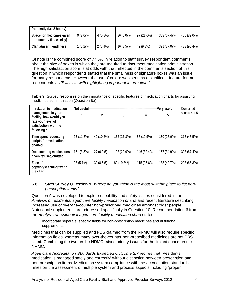| frequently (i.e. 2 hourly)                              |            |            |           |            |             |             |
|---------------------------------------------------------|------------|------------|-----------|------------|-------------|-------------|
| Space for medicines given<br>infrequently (i.e. weekly) | $9(2.0\%)$ | $4(0.8\%)$ | 36 (8.0%) | 97 (21.6%) | 303 (67.4%) | 400 (89.0%) |
| Clarity/user friendliness                               | $1(0.2\%)$ | $2(0.4\%)$ | 16(3.5%)  | 42 (9.3%)  | 391 (87.0%) | 433 (96.4%) |

Of note is the combined score of 77.5% in relation to staff survey respondent comments about the size of boxes in which they are required to document medication administration. The high satisfaction score is at odds with that reflected in the comments section of this question in which respondents stated that the smallness of signature boxes was an issue for many respondents. However the use of colour was seen as a significant feature for most respondents as *'It assists with highlighting important information.'* 

**Table 9:** Survey responses on the importance of specific features of medication charts for assisting medicines administration (Question 8a)

| In relation to medication                                                                                  | Not useful- |               |             |             | -Very useful | Combined       |
|------------------------------------------------------------------------------------------------------------|-------------|---------------|-------------|-------------|--------------|----------------|
| management in your<br>facility, how would you<br>rate your level of<br>satisfaction with the<br>following? |             | $\mathfrak z$ | 3           | 4           | 5            | scores $4 + 5$ |
| Time spent requesting<br>scripts for medications<br>charted                                                | 53 (11.8%)  | 46 (10.2%)    | 132 (27.3%) | 88 (19.5%)  | 130 (28.9%)  | 218 (48.5%)    |
| Documenting medications<br>given/refused/omitted                                                           | 16 (3.5%)   | 27 (6.0%)     | 103 (22.9%) | 146 (32.4%) | 157 (34.9%)  | 303 (67.4%)    |
| Ease of<br>copying/scanning/faxing<br>the chart                                                            | 23 (5.1%)   | 39 (8.6%)     | 89 (19.8%)  | 115 (25.6%) | 183 (40.7%)  | 298 (66.3%)    |

### **6.6 Staff Survey Question 9:** *Where do you think is the most suitable place to list nonprescription items?*

Question 9 was developed to explore useability and safety issues considered in the *Analysis of residential aged care facility medication charts* and recent literature describing increased use of over-the-counter non-prescribed medicines amongst older people. Nutritional supplements are addressed specifically in Question 10. Recommendation 6 from the *Analysis of residential aged care facility medication chart* states,

Incorporate separate, specific fields for non-prescription medicines and nutritional supplements.

Medicines that can be supplied and PBS claimed from the NRMC will also require specific information fields whereas many over-the-counter non-prescribed medicines are not PBS listed. Combining the two on the NRMC raises priority issues for the limited space on the NRMC.

*Aged Care Accreditation Standards Expected Outcome 2.7* reqires that 'Residents' medication is managed safely and correctly' without distinction between prescription and non-prescription items. Medication system compliance with the accreditation standards relies on the assessment of multiple system and process aspects including 'proper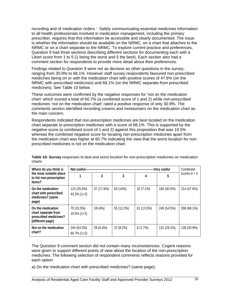recording and of medication orders '. Safely communicating essential medicines information to all health professionals involved in medication management, including the primary prescriber, requires that this information be accessible and clearly documented. The issue is whether the information should be available on the NRMC, on a chart that attaches to the NRMC or on a chart separate to the NRMC. To explore current practice and preferences, Question 9 had three sections describing different sections for documenting each with a Likert score from 1 to 5 (1 being the worst and 5 the best). Each section also had a comment section for respondents to provide more detail about their preferences.

Findings related to Question 9 were not as decisive as other questions in the survey, ranging from 30.9% to 68.1%. However staff survey respondents favoured non-prescribed medicines being on or with the medication chart with positive scores of 47.6% (on the NRMC with prescribed medicines) and 68.1% (on the NRMC separate from prescribed medicines). See Table 10 below.

These outcomes were confirmed by the negative responses for 'not on the medication chart' which scored a total of 60.7% (a combined score of 1 and 2) while non-prescribed medicines 'not on the medication chart' rated a positive response of only 30.9%. The comments section identified recording creams and moisturisers on the medication chart as the main concern.

Respondents indicated that non-prescription medicines are best located on the medication chart separate to prescription medicines with a score of 68.1%. This is supported by the negative score (a combined score of 1 and 2) against this proposition that was 19.5% whereas the combined negative score for locating non-prescription medicines apart from the medication chart was higher at 60.7% indicating the view that the worst location for nonprescribed medicines is not on the medication chart.

| Where do you think is                                                                 | Not useful-                   |            |            |                | Very useful | Combined    |
|---------------------------------------------------------------------------------------|-------------------------------|------------|------------|----------------|-------------|-------------|
| the most suitable place<br>to list non-prescription<br>items?                         | $\mathfrak z$<br>3<br>4       |            | 5          | scores $4 + 5$ |             |             |
| On the medication<br>chart with prescribed<br>medicines? (same<br>page)               | 115 (25.6%)<br>$43.2\%$ (1+2) | 57 (17.6%) | 63 (14%)   | 32 (7.1%)      | 182 (40.5%) | 214 (47.6%) |
| On the medication<br>chart separate from<br>prescribed medicines?<br>(different page) | 70 (15.5%)<br>$19.5\% (1+2)$  | 18 (4%)    | 55 (12.2%) | 61 (13.5%)     | 245 (54.5%) | 306 (68.1%) |
| Not on the medication<br>chart?                                                       | 244 (54.3%)<br>$60.7\%$ (1+2) | 29 (6.4%)  | 37 (8.2%)  | 8(1.7%)        | 131 (29.1%) | 139 (30.9%) |

**Table 10: Survey** responses to best and worst location for non-prescription medicines on medication charts

The Question 9 comment section did not contain many inconsistencies. Cogent reasons were given to support different points of view about the location of the non-prescription medicines. The following selection of respondent comments reflects reasons provided for each option.

a) On the medication chart with prescribed medicines? (same page);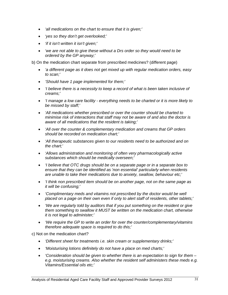- *'all medications on the chart to ensure that it is given;'*
- *'yes so they don't get overlooked;'*
- *'if it isn't written it isn't given;'*
- *'we are not able to give these without a Drs order so they would need to be ordered by the GP anyway;'*

b) On the medication chart separate from prescribed medicines? (different page)

- *'a different page as it does not get mixed up with regular medication orders, easy to scan;'*
- *'Should have 1 page implemented for them;'*
- *'I believe there is a necessity to keep a record of what is been taken inclusive of creams;'*
- *'I manage a low care facility everything needs to be charted or it is more likely to be missed by staff;'*
- *'All medications whether prescribed or over the counter should be charted to minimise risk of interactions that staff may not be aware of and also the doctor is aware of all medications that the resident is taking;'*
- *'All over the counter & complementary medication and creams that GP orders should be recorded on medication chart;'*
- *'All therapeutic substances given to our residents need to be authorized and on the chart;'*
- *'Allows administration and monitoring of often very pharmacologically active substances which should be medically overseen;'*
- *'I believe that OTC drugs should be on a separate page or in a separate box to ensure that they can be identified as 'non essential' particularly when residents are unable to take their medications due to anxiety, swallow, behaviour etc;'*
- *'I think non prescribed item should be on another page, not on the same page as it will be confusing;'*
- *'Complimentary meds and vitamins not prescribed by the doctor would be well placed on a page on their own even if only to alert staff of residents, other tablets;'*
- *'We are regularly told by auditors that if you put something on the resident or give them something to swallow it MUST be written on the medication chart, otherwise it is not legal to administer;'*
- *'We require the GP to write an order for over the counter/complementary/vitamins therefore adequate space is required to do this;'*

c) Not on the medication chart?

- *'Different sheet for treatments i.e. skin cream or supplementary drinks;'*
- *'Moisturising lotions definitely do not have a place on med charts;'*
- *'Consideration should be given to whether there is an expectation to sign for them e.g. moisturising creams. Also whether the resident self administers these meds e.g. Vitamins/Essential oils etc;'*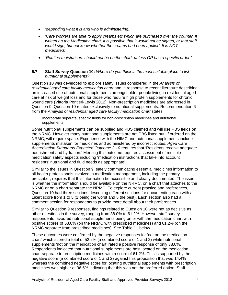- *'depending what it is and who is administering;'*
- *'Care workers are able to apply creams etc which are purchased over the counter. If written on the Medication chart, it is possible that it would not be signed, or that staff would sign, but not know whether the creams had been applied. It is NOT medicated;'*
- *'Routine moisturisers should not be on the chart, unless GP has a specific order;'*

### **6.7 Staff Survey Question 10:** *Where do you think is the most suitable place to list nutritional supplements?*

Question 10 was developed to explore safety issues considered in the *Analysis of residential aged care facility medication chart* and in response to recent literature describing an increased use of nutritional supplements amongst older people living in residential aged care at risk of weight loss and for those who require high protein supplements for chronic wound care (Vittoria Pontieri-Lewis 2012). Non-prescription medicines are addressed in Question 9. Question 10 relates exclusively to nutritional supplements. Recommendation 6 from the *Analysis of residential aged care facility medication chart* states,

Incorporate separate, specific fields for non-prescription medicines and nutritional supplements.

Some nutritional supplements can be supplied and PBS claimed and will use PBS fields on the NRMC. However many nutritional supplements are not PBS listed but, if ordered on the NRMC, will require space. Experience with the NIMC and nutritional supplements include supplements mistaken for medicines and administered by incorrect routes. *Aged Care Accreditation Standards Expected Outcome 2.10* requires that 'Residents receive adequate nourishment and hydration.' Meeting this outcome requires assessment of multiple medication safety aspects including 'medication instructions that take into account residents' nutritional and fluid needs as appropriate'.

Similar to the issues in Question 9, safely communicating essential medicines information to all health professionals involved in medication management, including the primary prescriber, requires that this information be accessible and clearly documented. The issue is whether the information should be available on the NRMC, on a chart that attaches to the NRMC or on a chart separate the NRMC. To explore current practice and preferences, Question 10 had three sections describing different sections for documenting each with a Likert score from 1 to 5 (1 being the worst and 5 the best). Each section also had a comment section for respondents to provide more detail about their preferences.

Similar to Question 9 responses, findings related to Question 10 were not as decisive as other questions in the survey, ranging from 38.0% to 61.2%. However staff survey respondents favoured nutritional supplements being on or with the medication chart with positive scores of 53.0% (on the NRMC with prescribed medicines) and 61.2% (on the NRMC separate from prescribed medicines). See Table 11 below.

These outcomes were confirmed by the negative responses for 'not on the medication chart' which scored a total of 52.2% (a combined score of 1 and 2) while nutritional supplements 'not on the medication chart' rated a positive response of only 38.0%. Respondents indicated that nutritional supplements are best located on the medication chart separate to prescription medicines with a score of 61.2%. This is supported by the negative score (a combined score of 1 and 2) against this proposition that was 14.4% whereas the combined negative score for locating nutritional supplements with prescription medicines was higher at 36.5% indicating that this was not the preferred option. Staff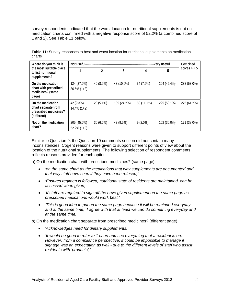survey respondents indicated that the worst location for nutritional supplements is not on medication charts confirmed with a negative response score of 52.2% (a combined score of 1 and 2). See Table 11 below.

| Where do you think is                                                            | Not useful--                  |               |             |            | -Very useful | Combined       |
|----------------------------------------------------------------------------------|-------------------------------|---------------|-------------|------------|--------------|----------------|
| the most suitable place<br>to list nutritional<br>supplements?                   |                               | $\mathfrak z$ | 3           | 4          | 5            | scores $4 + 5$ |
| On the medication<br>chart with prescribed<br>medicines? (same<br>page)          | 124 (27.6%)<br>$36.5\% (1+2)$ | 40 (8.9%)     | 48 (10.6%)  | 34 (7.5%)  | 204 (45.4%)  | 238 (53.0%)    |
| On the medication<br>chart separate from<br>prescribed medicines?<br>(different) | 42 (9.3%)<br>$14.4\%$ (1+2)   | 23 (5.1%)     | 109 (24.2%) | 50 (11.1%) | 225 (50.1%)  | 275 (61.2%)    |
| Not on the medication<br>chart?                                                  | 205 (45.6%)<br>$52.2\% (1+2)$ | 30(6.6%)      | 43 (9.5%)   | $9(2.0\%)$ | 162 (36.0%)  | 171 (38.0%)    |

**Table 11:** Survey responses to best and worst location for nutritional supplements on medication charts

Similar to Question 9, the Question 10 comments section did not contain many inconsistencies. Cogent reasons were given to support different points of view about the location of the nutritional supplements. The following selection of respondent comments reflects reasons provided for each option.

a) On the medication chart with prescribed medicines? (same page);

- *'on the same chart as the medications that way supplements are documented and that way staff have seen if they have been refused;'*
- *'Ensures regimen is followed, nutritional state of residents are maintained, can be assessed when given;'*
- *'If staff are required to sign off the have given supplement on the same page as prescribed medications would work best;'*
- *'This is good idea to put on the same page because it will be reminded everyday and at the same time, I agree with that at least we can do something everyday and at the same time.'*

b) On the medication chart separate from prescribed medicines? (different page)

- *'Acknowledges need for dietary supplements;'*
- *'It would be good to refer to 1 chart and see everything that a resident is on. However, from a compliance perspective, it could be impossible to manage if signage was an expectation as well - due to the different levels of staff who assist residents with 'products';'*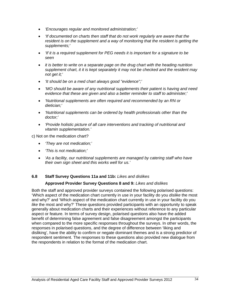- *'Encourages regular and monitored administration;'*
- *'If documented on charts then staff that do not work regularly are aware that the resident is on the supplement and a way of monitoring that the resident is getting the supplements;'*
- *'If it is a required supplement for PEG needs it is important for a signature to be seen*
- *it is better to write on a separate page on the drug chart with the heading nutrition supplement chart, it it is kept separately it may not be checked and the resident may not get it;'*
- *'It should be on a med chart always good "evidence";'*
- *'MO should be aware of any nutritional supplements their patient is having and need evidence that these are given and also a better reminder to staff to administer;'*
- *'Nutritional supplements are often required and recommended by an RN or dietician;'*
- *'Nutritional supplements can be ordered by health professionals other than the doctor;'*
- *'Provide holistic picture of all care interventions and tracking of nutritional and vitamin supplementation.'*

c) Not on the medication chart?

- *'They are not medication;'*
- *'This is not medication;'*
- *'As a facility, our nutritional supplements are managed by catering staff who have their own sign sheet and this works well for us.'*

### **6.8 Staff Survey Questions 11a and 11b:** *Likes and dislikes*

### **Approved Provider Survey Questions 8 and 9:** *Likes and dislikes*

Both the staff and approved provider surveys contained the following polarised questions: 'Which aspect of the medication chart currently in use in your facility do you *dislike* the most and why?' and 'Which aspect of the medication chart currently in use in your facility do you *like* the most and why?' These questions provided participants with an opportunity to speak generally about medication charts and their experiences without reference to any particular aspect or feature. In terms of survey design, polarised questions also have the added benefit of determining false agreement and false disagreement amongst the participants when compared to the more specific responses throughout the surveys. In other words, the responses in polarised questions, and the degree of difference between 'liking and disliking', have the ability to confirm or negate dominant themes and is a strong predictor of respondent sentiment. The responses to these questions also provided new dialogue from the respondents in relation to the format of the medication chart.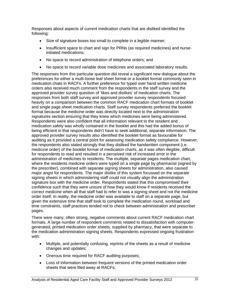Responses about aspects of current medication charts that are disliked identified the following:

- Size of signature boxes too small to complete in a legible manner;
- Insufficient space to chart and sign for PRNs (as required medicines) and nurseinitiated medications;
- No space to record administration of telephone orders; and
- No space to record variable dose medicines and associated laboratory results.

The responses from this particular question did reveal a significant new dialogue about the preferences for either a multi-loose leaf sheet format or a booklet format commonly seen in medication chats in RACFs. A further preference for typed over hand written medicine orders also received much comment from the respondents in the staff survey and the approved provider survey question of 'likes and dislikes' of medication charts. The responses from both staff survey and approved provider survey respondents focused heavily on a comparison between the common RACF medication chart formats of booklet and single page sheet medication charts. Staff survey respondents preferred the booklet format because the medicine order was directly located next to the administration signatures section ensuring that they knew which medicines were being administered. Respondents were also confident that all information relevant to the resident and medication safety was wholly contained in the booklet and this had the added bonus of being efficient in that respondents didn't have to seek additional, separate information. The approved provider survey results also identified the booklet format as favourable for auditing as it provided a central point for assessing medication safety compliance. However, the respondents also stated strongly that they disliked the handwritten component (i.e. medicine order) of the booklet format of medication charts, as it was often illegible, difficult for respondents to read and resulted in a perceived risk of increased error in the administration of medicines to residents. The multiple, separate pages medication chart, where the residents medicine orders were typed on a single page by pharmacist (signed by the prescriber), combined with separate signing sheets for administration, also caused major angst for respondents. The major dislike of this system focussed on the separate signing sheets in which administering staff could not visually align the administration signature box with the medicine order. Respondents stated that this compromised their confidence such that they were unsure of how they would know if residents received the correct medicine when all that staff had to refer to was a signing sheet and not the medicine order itself. In reality, the medicine order was available to staff on a separate page, but given the extensive time that staff took to complete the medication round, workload and time constraints, staff practices tended not to check between administration and prescriber pages.

There were many, often strong, negative comments about current RACF medication chart formats. A large number of respondent comments related to dissatisfaction with computergenerated, printed medication order sheets, supplied by pharmacy, that were separate to the medication administration signing sheets. Respondents expressed ongoing frustration with:

- Multiple, and potentially confusing, reprints of the sheets as a result of medicine changes and updates;
- Onerous time required for RACF auditing purposes;
- Loss of information between frequent versions of the printed medication order sheets that were filed away at RACFs;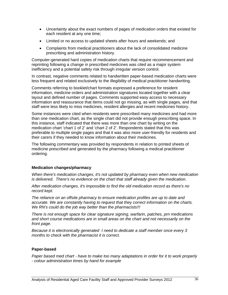- Uncertainty about the exact numbers of pages of medication orders that existed for each resident at any one time;
- Limited or no access to updated sheets after hours and weekends; and
- Complaints from medical practitioners about the lack of consolidated medicine prescribing and administration history.

Computer-generated hard copies of medication charts that require recommencement and reprinting following a change in prescribed medicines was cited as a major system inefficiency and a potential safety risk through irregular version control.

In contrast, negative comments related to handwritten paper-based medication charts were less frequent and related exclusively to the illegibility of medical practitioner handwriting.

Comments referring to booklet/chart formats expressed a preference for resident information, medicine orders and administration signatures located together with a clear layout and defined number of pages. Comments supported easy access to necessary information and reassurance that items could not go missing, as with single pages, and that staff were less likely to miss medicines, resident allergies and recent medicines history.

Some instances were cited when residents were prescribed many medicines and had more than one medication chart, as the single chart did not provide enough prescribing space. In this instance, staff indicated that there was more than one chart by writing on the medication chart 'chart 1 of 2' and 'chart 2 of 2'. Respondents stated that this was preferable to multiple single pages and that it was also more user-friendly for residents and their carers if they needed to know information about their medicines.

The following commentary was provided by respondents in relation to printed sheets of medicine prescribed and generated by the pharmacy following a medical practitioner ordering.

## **Medication changes/pharmacy**

*When there's medication changes, it's not updated by pharmacy even when new medication is delivered. There's no evidence on the chart that staff already given the medication.* 

*After medication changes, it's impossible to find the old medication record as there's no record kept.* 

*The reliance on an offsite pharmacy to ensure medication profiles are up to date and accurate. We are constantly having to request that they correct information on the charts. We RN's could do the job way better than the pharmacists!!!* 

*There is not enough space for clear signature signing, warfarin, patches, prn medications and short course medications are in small areas on the chart and not necessarily on the front page.* 

*Because it is electronically generated I need to dedicate a staff member once every 3 months to check with the pharmacist it is correct.* 

## **Paper-based**

*Paper based med chart - have to make too many adaptations in order for it to work properly - colour administration times by hand for example*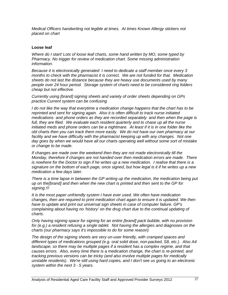*Medical Officers handwriting not legible at times. At times Known Allergy stickers not placed on chart* 

### **Loose leaf**

*Where do I start! Lots of loose leaf charts, some hand written by MO, some typed by Pharmacy. No trigger for review of medication chart. Some missing administration information.* 

*Because it is electronically generated I need to dedicate a staff member once every 3 months to check with the pharmacist it is correct. We are not funded for that. Medication sheets do not last the distance because they are heavy use documents used by many people over 24 hour period. Storage system of charts need to be considered ring folders cheap but not effective.* 

*Currently using [brand] signing sheets and variety of order sheets depending on GPs practice Current system can be confusing* 

*I do not like the way that everytime a medication change happens that the chart has to be reprinted and sent for signing again. Also it is often difficult to track nurse initiated medications and phone orders as they are recorded separately and then when the page is*  full, they are filed. We evaluate each resident quarterly and to chase up all the nurse *initiated meds and phone orders can be a nightmare. At least if it is in one folder like the old charts then you can track them more easily. We do not have our own pharmacy at our*  facility and we have difficulty with the pharmacist keeping up with any changes. Not one *day goes by when we would have all our charts operating well without some sort of mistake or change to be made.* 

*If changes are made over the weekend then they are not made electronically till the Monday, therefore if changes are not handed over then medication errors are made. There is nowhere for the Doctor to sign if he writes up a new medication. I realise that there is a signature on the bottom of each page, once signed, but how legal is it if he writes up a new medication a few days later.* 

*There is a time lapse in between the GP writing up the medication, the medication being put up on the[brand] and then when the new chart is printed and then sent to the GP for signing.!!!* 

*It is the most paper unfriendly system I have ever used. We often have medication changes, then are required to print medication chart again to ensure it is updated. We then have to update and print out universal sign sheets in case of computer failure. GP's complaining about having no 'history' on the drug chart due to the continual updating of charts.* 

*Only having signing space for signing for an entire [brand] pack bubble, with no provision for (e.g.) a resident refusing a single tablet. Not having the allergies and diagnoses on the charts (our pharmacy says it's impossible to do for some reason)* 

*The design of the signing sheets are very un-user friendly, with cramped spaces and different types of medications grouped (e.g. oral solid dose, non-packed, S8, etc.). Also A4*  landscape, so there may be multiple pages if a resident has a complex regime, and that *causes errors. Also, every time there is a medication change, the chart is re-printed, and tracking previous versions can be tricky (and also involve multiple pages for medically unstable residents). We're still using hard copies, and I don't see us going to an electronic system within the next 3 - 5 years.*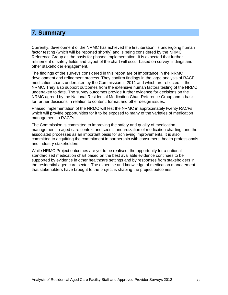# **7. Summary**

Currently, development of the NRMC has achieved the first iteration, is undergoing human factor testing (which will be reported shortly) and is being considered by the NRMC Reference Group as the basis for phased implementation. It is expected that further refinement of safety fields and layout of the chart will occur based on survey findings and other stakeholder engagement.

The findings of the surveys considered in this report are of importance in the NRMC development and refinement process. They confirm findings in the large analysis of RACF medication charts undertaken by the Commission in 2011 and which are reflected in the NRMC. They also support outcomes from the extensive human factors testing of the NRMC undertaken to date. The survey outcomes provide further evidence for decisions on the NRMC agreed by the National Residential Medication Chart Reference Group and a basis for further decisions in relation to content, format and other design issues.

Phased implementation of the NRMC will test the NRMC in approximately twenty RACFs which will provide opportunities for it to be exposed to many of the varieties of medication management in RACFs.

The Commission is committed to improving the safety and quality of medication management in aged care context and sees standardization of medication charting, and the associated processes as an important basis for achieving improvements. It is also committed to acquitting the commitment in partnership with consumers, health professionals and industry stakeholders.

While NRMC Project outcomes are yet to be realised, the opportunity for a national standardised medication chart based on the best available evidence continues to be supported by evidence in other healthcare settings and by responses from stakeholders in the residential aged care sector. The expertise and knowledge of medication management that stakeholders have brought to the project is shaping the project outcomes.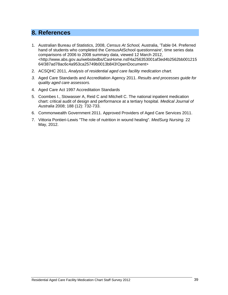# **8. References**

- 1. Australian Bureau of Statistics, 2008, *Census At School,* Australia, 'Table 04. Preferred hand of students who completed the CensusAtSchool questionnaire', time series data comparisons of 2006 to 2008 summary data, viewed 12 March 2012, <http://www.abs.gov.au/websitedbs/CasHome.nsf/4a256353001af3ed4b2562bb001215 64/387ad78ac6c4a953ca25749b0013b843!OpenDocument>
- 2. ACSQHC 2011, *Analysis of residential aged care facility medication chart.*
- *3.* Aged Care Standards and Accreditation Agency 2011. *Results and processes guide for quality aged care assessors.*
- 4. Aged Care Act 1997 Accreditation Standards
- 5. Coombes I., Stowasser A, Reid C and Mitchell C. The national inpatient medication chart: critical audit of design and performance at a tertiary hospital. *Medical Journal of Australia* 2008; 188 (12): 732-733.
- 6. Commonwealth Government 2011. Approved Providers of Aged Care Services 2011.
- 7. Vittoria Pontieri-Lewis ["The role of nutrition in wound healing"](http://findarticles.com/p/articles/mi_m0FSS/is_n4_v6/ai_n18607502/). *MedSurg Nursing.* 22 May, 2012.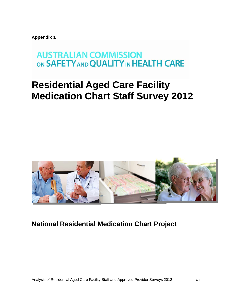**Appendix 1** 

# **AUSTRALIAN COMMISSION** ON SAFETY AND QUALITY IN HEALTH CARE

# **Residential Aged Care Facility Medication Chart Staff Survey 2012**



**National Residential Medication Chart Project**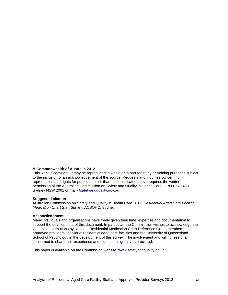#### **© Commonwealth of Australia 2012**

This work is copyright. It may be reproduced in whole or in part for study or training purposes subject to the inclusion of an acknowledgement of the source. Requests and inquiries concerning reproduction and rights for purposes other than those indicated above requires the written permission of the Australian Commission on Safety and Quality in Health Care, GPO Box 5480 Sydney NSW 2001 or [mail@safetyandquality.gov.au](mailto:mail@safetyandquality.gov.au)

#### **Suggested citation**

Australian Commission on Safety and Quality in Health Care 2012, *Residential Aged Care Facility Medication Chart Staff Survey*, ACSQHC, Sydney.

#### **Acknowledgment**

Many individuals and organisations have freely given their time, expertise and documentation to support the development of this document. In particular, the Commission wishes to acknowledge the valuable contributions by National Residential Medication Chart Reference Group members, approved providers, individual residential aged care facilities and the University of Queensland School of Psychology in the development of this survey. The involvement and willingness of all concerned to share their experience and expertise is greatly appreciated.

This paper is available on the Commission website: [www.safetyandquality.gov.au](http://www.safetyandquality.gov.au/)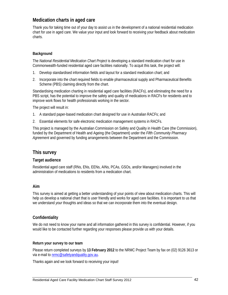# **Medication charts in aged care**

Thank you for taking time out of your day to assist us in the development of a national residential medication chart for use in aged care. We value your input and look forward to receiving your feedback about medication charts.

### **Background**

The *National Residential Medication Chart Project* is developing a standard medication chart for use in Commonwealth-funded residential aged care facilities nationally. To acquit this task, the project will:

- 1. Develop standardised information fields and layout for a standard medication chart; and
- 2. Incorporate into the chart required fields to enable pharmaceutical supply and Pharmaceutical Benefits Scheme (PBS) claiming directly from the chart.

Standardising medication charting in residential aged care facilities (RACFs), and eliminating the need for a PBS script, has the potential to improve the safety and quality of medications in RACFs for residents and to improve work flows for health professionals working in the sector.

The project will result in:

- 1. A standard paper-based medication chart designed for use in Australian RACFs; and
- 2. Essential elements for safe electronic medication management systems in RACFs.

This project is managed by the Australian Commission on Safety and Quality in Health Care (the Commission), funded by the Department of Health and Ageing (the Department) under the *Fifth Community Pharmacy Agreement* and governed by funding arrangements between the Department and the Commission.

# **This survey**

### **Target audience**

Residential aged care staff (RNs, ENs, EENs, AINs, PCAs, GSOs, and/or Managers) involved in the administration of medications to residents from a medication chart.

### **Aim**

This survey is aimed at getting a better understanding of your points of view about medication charts. This will help us develop a national chart that is user friendly and works for aged care facilities. It is important to us that we understand *your* thoughts and ideas so that we can incorporate them into the eventual design.

## **Confidentiality**

We do not need to know your name and all information gathered in this survey is confidential. However, if you would like to be contacted further regarding your responses please provide us with your details.

### **Return your survey to our team**

Please return completed surveys by **13 February 2012** to the NRMC Project Team by fax on (02) 9126 3613 or via e-mail to [nrmc@safetyandquality.gov.au.](mailto:pamela.mantaring@safetyandquality.gov.au)

Thanks again and we look forward to receiving your input!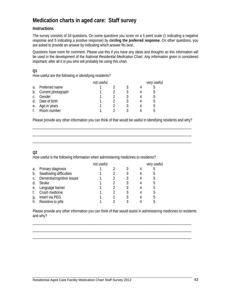# **Medication charts in aged care: Staff survey**

# **Instructions**

The survey consists of 18 questions. On some questions you score on a 5 point scale (1 indicating a negative response and 5 indicating a positive response) by **circling the preferred response**. On other questions, you are asked to provide an answer by indicating which answer fits best.

Questions have room for comment. Please use this if you have any ideas and thoughts as this information will be used in the development of the *National Residential Medication Chart*. Any information given is considered important; after all it is you who will probably be using this chart.

## **Q1**

How useful are the following in identifying residents?

|    |                    | not useful |  | very useful |
|----|--------------------|------------|--|-------------|
| a. | Preferred name     |            |  |             |
| b. | Current photograph |            |  | מ.          |
| C. | Gender             |            |  | b           |
| d. | Date of birth      |            |  | מ.          |
| е. | Age in years       |            |  | .h          |
|    | Room number        |            |  |             |

Please provide any other information you can think of that would be useful in identifying residents and why? \_\_\_\_\_\_\_\_\_\_\_\_\_\_\_\_\_\_\_\_\_\_\_\_\_\_\_\_\_\_\_\_\_\_\_\_\_\_\_\_\_\_\_\_\_\_\_\_\_\_\_\_\_\_\_\_\_\_\_\_\_\_\_\_\_\_\_\_\_\_\_\_\_\_\_\_\_\_\_\_\_\_\_\_\_

\_\_\_\_\_\_\_\_\_\_\_\_\_\_\_\_\_\_\_\_\_\_\_\_\_\_\_\_\_\_\_\_\_\_\_\_\_\_\_\_\_\_\_\_\_\_\_\_\_\_\_\_\_\_\_\_\_\_\_\_\_\_\_\_\_\_\_\_\_\_\_\_\_\_\_\_\_\_\_\_\_\_\_\_\_ \_\_\_\_\_\_\_\_\_\_\_\_\_\_\_\_\_\_\_\_\_\_\_\_\_\_\_\_\_\_\_\_\_\_\_\_\_\_\_\_\_\_\_\_\_\_\_\_\_\_\_\_\_\_\_\_\_\_\_\_\_\_\_\_\_\_\_\_\_\_\_\_\_\_\_\_\_\_\_\_\_\_\_\_\_

# **Q2**

How useful is the following information when administering medicines to residents?

|    |                           | not useful |  | very useful |
|----|---------------------------|------------|--|-------------|
| a. | Primary diagnosis         |            |  |             |
| b. | Swallowing difficulties   |            |  | h.          |
|    | Dementia/cognitive issues |            |  | 5           |
| d  | <b>Stroke</b>             |            |  | 5           |
| е. | Language barrier          |            |  | 5           |
|    | Crush medicine            |            |  | 5           |
| g. | Insert via PEG            |            |  | 5           |
|    | Resistive to pills        |            |  |             |

Please provide any other information you can think of that would assist in administering medicines to residents and why?

\_\_\_\_\_\_\_\_\_\_\_\_\_\_\_\_\_\_\_\_\_\_\_\_\_\_\_\_\_\_\_\_\_\_\_\_\_\_\_\_\_\_\_\_\_\_\_\_\_\_\_\_\_\_\_\_\_\_\_\_\_\_\_\_\_\_\_\_\_\_\_\_\_\_\_\_\_\_\_\_\_\_\_\_\_ \_\_\_\_\_\_\_\_\_\_\_\_\_\_\_\_\_\_\_\_\_\_\_\_\_\_\_\_\_\_\_\_\_\_\_\_\_\_\_\_\_\_\_\_\_\_\_\_\_\_\_\_\_\_\_\_\_\_\_\_\_\_\_\_\_\_\_\_\_\_\_\_\_\_\_\_\_\_\_\_\_\_\_\_\_ \_\_\_\_\_\_\_\_\_\_\_\_\_\_\_\_\_\_\_\_\_\_\_\_\_\_\_\_\_\_\_\_\_\_\_\_\_\_\_\_\_\_\_\_\_\_\_\_\_\_\_\_\_\_\_\_\_\_\_\_\_\_\_\_\_\_\_\_\_\_\_\_\_\_\_\_\_\_\_\_\_\_\_\_\_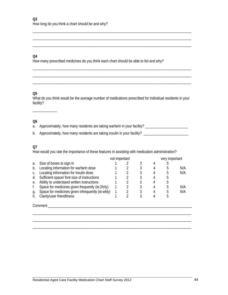### **Q4**

How many prescribed medicines do you think each chart should be able to list and why?

### **Q5**

What do you think would be the average number of medications prescribed for individual residents in your facility?

\_\_\_\_\_\_\_\_\_\_\_\_\_\_\_\_\_\_\_\_\_\_\_\_\_\_\_\_\_\_\_\_\_\_\_\_\_\_\_\_\_\_\_\_\_\_\_\_\_\_\_\_\_\_\_\_\_\_\_\_\_\_\_\_\_\_\_\_\_\_\_\_\_\_\_\_\_\_\_\_\_\_\_\_\_ \_\_\_\_\_\_\_\_\_\_\_\_\_\_\_\_\_\_\_\_\_\_\_\_\_\_\_\_\_\_\_\_\_\_\_\_\_\_\_\_\_\_\_\_\_\_\_\_\_\_\_\_\_\_\_\_\_\_\_\_\_\_\_\_\_\_\_\_\_\_\_\_\_\_\_\_\_\_\_\_\_\_\_\_\_ \_\_\_\_\_\_\_\_\_\_\_\_\_\_\_\_\_\_\_\_\_\_\_\_\_\_\_\_\_\_\_\_\_\_\_\_\_\_\_\_\_\_\_\_\_\_\_\_\_\_\_\_\_\_\_\_\_\_\_\_\_\_\_\_\_\_\_\_\_\_\_\_\_\_\_\_\_\_\_\_\_\_\_\_\_

\_\_\_\_\_\_\_\_\_\_\_\_\_\_\_\_\_\_\_\_\_\_\_\_\_\_\_\_\_\_\_\_\_\_\_\_\_\_\_\_\_\_\_\_\_\_\_\_\_\_\_\_\_\_\_\_\_\_\_\_\_\_\_\_\_\_\_\_\_\_\_\_\_\_\_\_\_\_\_\_\_\_\_\_\_ \_\_\_\_\_\_\_\_\_\_\_\_\_\_\_\_\_\_\_\_\_\_\_\_\_\_\_\_\_\_\_\_\_\_\_\_\_\_\_\_\_\_\_\_\_\_\_\_\_\_\_\_\_\_\_\_\_\_\_\_\_\_\_\_\_\_\_\_\_\_\_\_\_\_\_\_\_\_\_\_\_\_\_\_\_ \_\_\_\_\_\_\_\_\_\_\_\_\_\_\_\_\_\_\_\_\_\_\_\_\_\_\_\_\_\_\_\_\_\_\_\_\_\_\_\_\_\_\_\_\_\_\_\_\_\_\_\_\_\_\_\_\_\_\_\_\_\_\_\_\_\_\_\_\_\_\_\_\_\_\_\_\_\_\_\_\_\_\_\_\_

### **Q6**

\_\_\_\_\_\_\_\_\_\_\_\_\_

a. Approximately, how many residents are taking warfarin in your facility? \_\_\_\_\_\_\_\_\_\_\_\_\_\_\_\_\_\_\_\_\_\_\_\_\_ b. Approximately, how many residents are taking insulin in your facility? \_\_\_\_\_\_\_\_\_\_\_\_\_\_\_\_\_\_\_\_\_\_\_\_\_

### **Q7**

How would you rate the importance of these features in assisting with medication administration?

|    |                                                  | not important |   |   | very important |     |
|----|--------------------------------------------------|---------------|---|---|----------------|-----|
| a. | Size of boxes to sign in                         |               |   | 4 |                |     |
| b. | Locating information for warfarin dose           |               |   | 4 | h.             | N/A |
|    | Locating information for insulin dose            |               | 3 |   |                | N/A |
| d. | Sufficient space/ font size of instructions      |               |   |   |                |     |
| е. | Ability to understand written instructions       |               |   | 4 |                |     |
| t. | Space for medicines given frequently (ie:2hrly)  |               | 3 | 4 |                | N/A |
| g. | Space for medicines given infrequently (ie:wkly) |               |   |   |                | N/A |
|    | Clarity/user friendliness                        |               |   |   | .h             |     |
|    | Comment                                          |               |   |   |                |     |

\_\_\_\_\_\_\_\_\_\_\_\_\_\_\_\_\_\_\_\_\_\_\_\_\_\_\_\_\_\_\_\_\_\_\_\_\_\_\_\_\_\_\_\_\_\_\_\_\_\_\_\_\_\_\_\_\_\_\_\_\_\_\_\_\_\_\_\_\_\_\_\_\_\_\_\_\_\_\_\_\_\_\_\_\_ \_\_\_\_\_\_\_\_\_\_\_\_\_\_\_\_\_\_\_\_\_\_\_\_\_\_\_\_\_\_\_\_\_\_\_\_\_\_\_\_\_\_\_\_\_\_\_\_\_\_\_\_\_\_\_\_\_\_\_\_\_\_\_\_\_\_\_\_\_\_\_\_\_\_\_\_\_\_\_\_\_\_\_\_\_ \_\_\_\_\_\_\_\_\_\_\_\_\_\_\_\_\_\_\_\_\_\_\_\_\_\_\_\_\_\_\_\_\_\_\_\_\_\_\_\_\_\_\_\_\_\_\_\_\_\_\_\_\_\_\_\_\_\_\_\_\_\_\_\_\_\_\_\_\_\_\_\_\_\_\_\_\_\_\_\_\_\_\_\_\_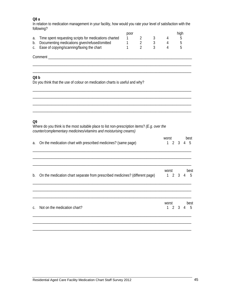### **Q8 a**

In relation to medication management in your facility, how would you rate your level of satisfaction with the following?

\_\_\_\_\_\_\_\_\_\_\_\_\_\_\_\_\_\_\_\_\_\_\_\_\_\_\_\_\_\_\_\_\_\_\_\_\_\_\_\_\_\_\_\_\_\_\_\_\_\_\_\_\_\_\_\_\_\_\_\_\_\_\_\_\_\_\_\_\_\_\_\_\_\_\_\_\_\_\_\_\_\_\_\_\_

|                                                          | poor |  | hiah |
|----------------------------------------------------------|------|--|------|
| a. Time spent requesting scripts for medications charted |      |  |      |
| b. Documenting medications given/refused/omitted         |      |  |      |
| c. Ease of copying/scanning/faxing the chart             |      |  |      |

Comment \_\_\_\_\_\_\_\_\_\_\_\_\_\_\_\_\_\_\_\_\_\_\_\_\_\_\_\_\_\_\_\_\_\_\_\_\_\_\_\_\_\_\_\_\_\_\_\_\_\_\_\_\_\_\_\_\_\_\_\_\_\_\_\_\_\_\_\_\_\_\_\_\_\_\_\_\_

### **Q8 b**

Do you think that the use of colour on medication charts is useful and why?

| Q <sub>9</sub> | Where do you think is the most suitable place to list non-prescription items? (E.g. over the<br>counter/complementary medicines/vitamins and moisturising creams) |                       |             |                |                   |
|----------------|-------------------------------------------------------------------------------------------------------------------------------------------------------------------|-----------------------|-------------|----------------|-------------------|
| a.             | On the medication chart with prescribed medicines? (same page)                                                                                                    | worst<br>$\mathbf{1}$ |             | 2 <sup>3</sup> | best<br>$4\quad5$ |
| b.             | On the medication chart separate from prescribed medicines? (different page)                                                                                      | worst<br>1234         |             |                | best<br>$-5$      |
| $C_{1}$        | Not on the medication chart?                                                                                                                                      | worst<br>$\mathbf{1}$ | $2^{\circ}$ | $3 \quad 4$    | best<br>5         |
|                |                                                                                                                                                                   |                       |             |                |                   |

\_\_\_\_\_\_\_\_\_\_\_\_\_\_\_\_\_\_\_\_\_\_\_\_\_\_\_\_\_\_\_\_\_\_\_\_\_\_\_\_\_\_\_\_\_\_\_\_\_\_\_\_\_\_\_\_\_\_\_\_\_\_\_\_\_\_\_\_\_\_\_\_\_\_\_\_\_\_\_\_\_\_\_\_\_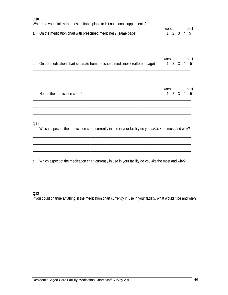| Q10       | Where do you think is the most suitable place to list nutritional supplements?                                    |                              |                |   |           |
|-----------|-------------------------------------------------------------------------------------------------------------------|------------------------------|----------------|---|-----------|
| a.        | On the medication chart with prescribed medicines? (same page)                                                    | worst<br>1                   | 2 <sup>3</sup> | 4 | best<br>5 |
| b.        | On the medication chart separate from prescribed medicines? (different page)                                      | worst<br>2<br>$\mathbf{1}$   | 3              | 4 | best<br>5 |
| C.        | Not on the medication chart?                                                                                      | worst<br>$\overline{2}$<br>1 | 3              | 4 | best<br>5 |
| Q11<br>a. | Which aspect of the medication chart currently in use in your facility do you dislike the most and why?           |                              |                |   |           |
| b.        | Which aspect of the medication chart currently in use in your facility do you like the most and why?              |                              |                |   |           |
| Q12       | If you could change anything in the medication chart currently in use in your facility, what would it be and why? |                              |                |   |           |
|           |                                                                                                                   |                              |                |   |           |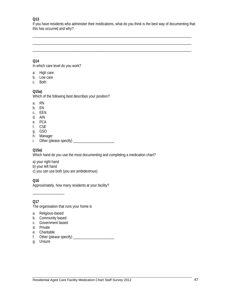### **Q13**

If you have residents who administer their medications, what do you think is the best way of documenting that this has occurred and why?

\_\_\_\_\_\_\_\_\_\_\_\_\_\_\_\_\_\_\_\_\_\_\_\_\_\_\_\_\_\_\_\_\_\_\_\_\_\_\_\_\_\_\_\_\_\_\_\_\_\_\_\_\_\_\_\_\_\_\_\_\_\_\_\_\_\_\_\_\_\_\_\_\_\_\_\_\_\_\_\_\_\_\_\_\_ \_\_\_\_\_\_\_\_\_\_\_\_\_\_\_\_\_\_\_\_\_\_\_\_\_\_\_\_\_\_\_\_\_\_\_\_\_\_\_\_\_\_\_\_\_\_\_\_\_\_\_\_\_\_\_\_\_\_\_\_\_\_\_\_\_\_\_\_\_\_\_\_\_\_\_\_\_\_\_\_\_\_\_\_\_ \_\_\_\_\_\_\_\_\_\_\_\_\_\_\_\_\_\_\_\_\_\_\_\_\_\_\_\_\_\_\_\_\_\_\_\_\_\_\_\_\_\_\_\_\_\_\_\_\_\_\_\_\_\_\_\_\_\_\_\_\_\_\_\_\_\_\_\_\_\_\_\_\_\_\_\_\_\_\_\_\_\_\_\_\_

# **Q14**

In which care level do you work?

- a. High care
- b. Low care
- c. Both

## **Q15a)**

Which of the following best describes your position?

- a. RN
- b. EN
- c. EEN
- d. AIN
- e. PCA
- f. CSE
- g. GSO
- h. Manager
- i. Other (please specify) \_\_\_\_\_\_\_\_\_\_\_\_\_\_\_\_\_\_\_\_\_\_

## **Q15a)**

Which hand do you use the most documenting and completing a medication chart?

- a) your right hand
- b) your left hand
- c) you can use both (you are ambidextrous)

### **Q16**

Approximately, how many residents at your facility?

**Q17**

The organisation that runs your home is

a. Religious-based

\_\_\_\_\_\_\_\_\_\_\_\_\_\_\_\_\_

- b. Community based
- c. Government based
- d. Private
- e. Charitable
- f. Other (please specify) \_\_\_\_\_\_\_\_\_\_\_\_\_\_\_\_\_\_\_\_\_\_
- g. Unsure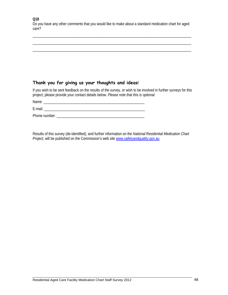### **Q18**

Do you have any other comments that you would like to make about a standard medication chart for aged care?

\_\_\_\_\_\_\_\_\_\_\_\_\_\_\_\_\_\_\_\_\_\_\_\_\_\_\_\_\_\_\_\_\_\_\_\_\_\_\_\_\_\_\_\_\_\_\_\_\_\_\_\_\_\_\_\_\_\_\_\_\_\_\_\_\_\_\_\_\_\_\_\_\_\_\_\_\_\_\_\_\_\_\_\_\_ \_\_\_\_\_\_\_\_\_\_\_\_\_\_\_\_\_\_\_\_\_\_\_\_\_\_\_\_\_\_\_\_\_\_\_\_\_\_\_\_\_\_\_\_\_\_\_\_\_\_\_\_\_\_\_\_\_\_\_\_\_\_\_\_\_\_\_\_\_\_\_\_\_\_\_\_\_\_\_\_\_\_\_\_\_ \_\_\_\_\_\_\_\_\_\_\_\_\_\_\_\_\_\_\_\_\_\_\_\_\_\_\_\_\_\_\_\_\_\_\_\_\_\_\_\_\_\_\_\_\_\_\_\_\_\_\_\_\_\_\_\_\_\_\_\_\_\_\_\_\_\_\_\_\_\_\_\_\_\_\_\_\_\_\_\_\_\_\_\_\_

# **Thank you for giving us your thoughts and ideas!**

If you wish to be sent feedback on the results of the survey, or wish to be involved in further surveys for this project, please provide your contact details below. *Please note that this is optional.* 

Name: \_\_\_\_\_\_\_\_\_\_\_\_\_\_\_\_\_\_\_\_\_\_\_\_\_\_\_\_\_\_\_\_\_\_\_\_\_\_\_\_\_\_\_\_\_\_\_\_\_\_\_\_\_\_

E-mail: \_\_\_\_\_\_\_\_\_\_\_\_\_\_\_\_\_\_\_\_\_\_\_\_\_\_\_\_\_\_\_\_\_\_\_\_\_\_\_\_\_\_\_\_\_\_\_\_\_\_\_\_\_\_

Phone number:

Results of this survey (de-identified), and further information on the *National Residential Medication Chart Project*, will be published on the Commission's web site [www.safetyandquality.gov.au](http://www.safetyandquality.gov.au/)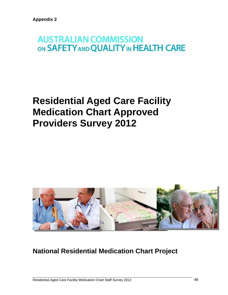# **AUSTRALIAN COMMISSION** ON SAFETY AND QUALITY IN HEALTH CARE

# **Residential Aged Care Facility Medication Chart Approved Providers Survey 2012**



# **National Residential Medication Chart Project**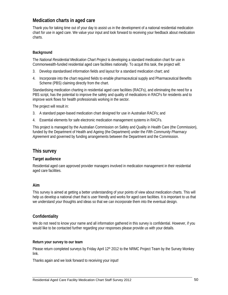# **Medication charts in aged care**

Thank you for taking time out of your day to assist us in the development of a national residential medication chart for use in aged care. We value your input and look forward to receiving your feedback about medication charts.

### **Background**

The *National Residential Medication Chart Project* is developing a standard medication chart for use in Commonwealth-funded residential aged care facilities nationally. To acquit this task, the project will:

- 3. Develop standardised information fields and layout for a standard medication chart; and
- 4. Incorporate into the chart required fields to enable pharmaceutical supply and Pharmaceutical Benefits Scheme (PBS) claiming directly from the chart.

Standardising medication charting in residential aged care facilities (RACFs), and eliminating the need for a PBS script, has the potential to improve the safety and quality of medications in RACFs for residents and to improve work flows for health professionals working in the sector.

The project will result in:

- 3. A standard paper-based medication chart designed for use in Australian RACFs; and
- 4. Essential elements for safe electronic medication management systems in RACFs.

This project is managed by the Australian Commission on Safety and Quality in Health Care (the Commission), funded by the Department of Health and Ageing (the Department) under the *Fifth Community Pharmacy Agreement* and governed by funding arrangements between the Department and the Commission.

# **This survey**

### **Target audience**

Residential aged care approved provider managers involved in medication management in their residential aged care facilities.

### **Aim**

This survey is aimed at getting a better understanding of your points of view about medication charts. This will help us develop a national chart that is user friendly and works for aged care facilities. It is important to us that we understand *your* thoughts and ideas so that we can incorporate them into the eventual design.

## **Confidentiality**

We do not need to know your name and all information gathered in this survey is confidential. However, if you would like to be contacted further regarding your responses please provide us with your details.

### **Return your survey to our team**

Please return completed surveys by Friday April 12<sup>th</sup> 2012 to the NRMC Project Team by the Survey Monkey link.

Thanks again and we look forward to receiving your input!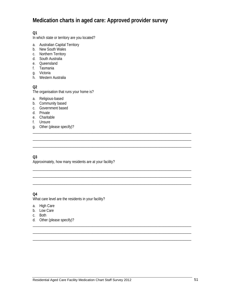# **Medication charts in aged care: Approved provider survey**

\_\_\_\_\_\_\_\_\_\_\_\_\_\_\_\_\_\_\_\_\_\_\_\_\_\_\_\_\_\_\_\_\_\_\_\_\_\_\_\_\_\_\_\_\_\_\_\_\_\_\_\_\_\_\_\_\_\_\_\_\_\_\_\_\_\_\_\_\_\_\_\_\_\_\_\_\_\_\_\_\_\_\_\_\_ \_\_\_\_\_\_\_\_\_\_\_\_\_\_\_\_\_\_\_\_\_\_\_\_\_\_\_\_\_\_\_\_\_\_\_\_\_\_\_\_\_\_\_\_\_\_\_\_\_\_\_\_\_\_\_\_\_\_\_\_\_\_\_\_\_\_\_\_\_\_\_\_\_\_\_\_\_\_\_\_\_\_\_\_\_

\_\_\_\_\_\_\_\_\_\_\_\_\_\_\_\_\_\_\_\_\_\_\_\_\_\_\_\_\_\_\_\_\_\_\_\_\_\_\_\_\_\_\_\_\_\_\_\_\_\_\_\_\_\_\_\_\_\_\_\_\_\_\_\_\_\_\_\_\_\_\_\_\_\_\_\_\_\_\_\_\_\_\_\_\_ \_\_\_\_\_\_\_\_\_\_\_\_\_\_\_\_\_\_\_\_\_\_\_\_\_\_\_\_\_\_\_\_\_\_\_\_\_\_\_\_\_\_\_\_\_\_\_\_\_\_\_\_\_\_\_\_\_\_\_\_\_\_\_\_\_\_\_\_\_\_\_\_\_\_\_\_\_\_\_\_\_\_\_\_\_ \_\_\_\_\_\_\_\_\_\_\_\_\_\_\_\_\_\_\_\_\_\_\_\_\_\_\_\_\_\_\_\_\_\_\_\_\_\_\_\_\_\_\_\_\_\_\_\_\_\_\_\_\_\_\_\_\_\_\_\_\_\_\_\_\_\_\_\_\_\_\_\_\_\_\_\_\_\_\_\_\_\_\_\_\_

\_\_\_\_\_\_\_\_\_\_\_\_\_\_\_\_\_\_\_\_\_\_\_\_\_\_\_\_\_\_\_\_\_\_\_\_\_\_\_\_\_\_\_\_\_\_\_\_\_\_\_\_\_\_\_\_\_\_\_\_\_\_\_\_\_\_\_\_\_\_\_\_\_\_\_\_\_\_\_\_\_\_\_\_\_ \_\_\_\_\_\_\_\_\_\_\_\_\_\_\_\_\_\_\_\_\_\_\_\_\_\_\_\_\_\_\_\_\_\_\_\_\_\_\_\_\_\_\_\_\_\_\_\_\_\_\_\_\_\_\_\_\_\_\_\_\_\_\_\_\_\_\_\_\_\_\_\_\_\_\_\_\_\_\_\_\_\_\_\_\_ \_\_\_\_\_\_\_\_\_\_\_\_\_\_\_\_\_\_\_\_\_\_\_\_\_\_\_\_\_\_\_\_\_\_\_\_\_\_\_\_\_\_\_\_\_\_\_\_\_\_\_\_\_\_\_\_\_\_\_\_\_\_\_\_\_\_\_\_\_\_\_\_\_\_\_\_\_\_\_\_\_\_\_\_\_

## **Q1**

In which state or territory are you located?

- a. Australian Capital Territory
- b. New South Wales
- c. Northern Territory
- d. South Australia
- e. Queensland
- f. Tasmania
- g. Victoria
- h. Western Australia

### **Q2**

The organisation that runs your home is?

- a. Religious-based
- b. Community based
- c. Government based
- d. Private
- e. Charitable
- f. Unsure
- g. Other (please specify)? \_\_\_\_\_\_\_\_\_\_\_\_\_\_\_\_\_\_\_\_\_\_\_\_\_\_\_\_\_\_\_\_\_\_\_\_\_\_\_\_\_\_\_\_\_\_\_\_\_\_\_\_\_\_\_\_\_\_\_\_\_\_\_\_\_\_\_\_\_\_\_\_\_\_\_\_\_\_\_\_\_\_\_\_\_

### **Q3**

Approximately, how many residents are at your facility?

### **Q4**

What care level are the residents in your facility?

- a. High Care
- b. Low Care
- c. Both
- d. Other (please specify)?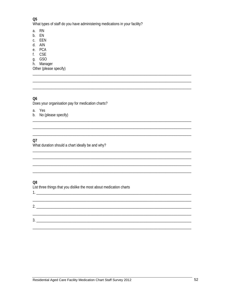### Q<sub>5</sub>

What types of staff do you have administering medications in your facility?

- a. RN
- b. EN
- c. EEN
- d. AIN
- e. PCA
- f. CSE
- q. GSO
- h. Manager

Other (please specify)

# Q<sub>6</sub>

Does your organisation pay for medication charts?

- a. Yes
- b. No (please specify)

# $Q7$

What duration should a chart ideally be and why?

# Q8

List three things that you dislike the most about medication charts

### 

 $2.$  $3.$